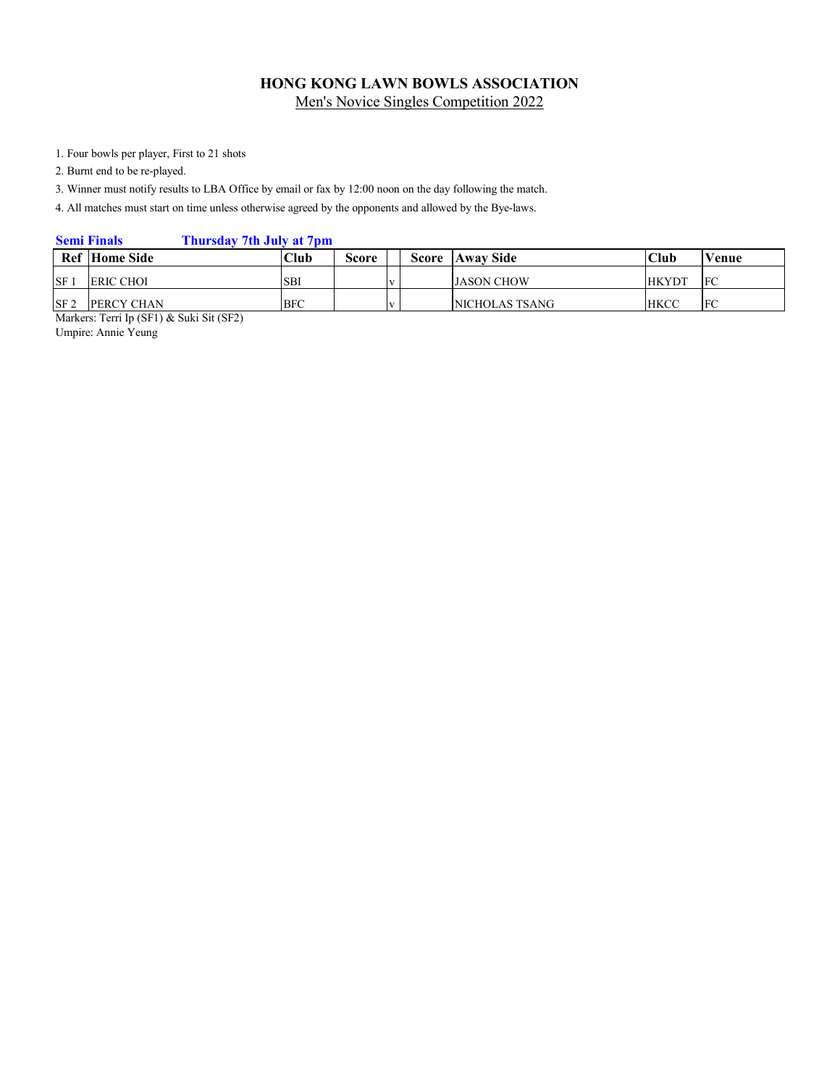1. Four bowls per player, First to 21 shots

2. Burnt end to be re-played.

3. Winner must notify results to LBA Office by email or fax by 12:00 noon on the day following the match.

4. All matches must start on time unless otherwise agreed by the opponents and allowed by the Bye-laws.

#### **Semi Finals Thursday 7th July at 7pm**

|                 | <b>Ref</b> Home Side | Club       | Score | <b>Score</b> | <b>Away Side</b>  | Club         | Venue |
|-----------------|----------------------|------------|-------|--------------|-------------------|--------------|-------|
| <b>SF</b>       | <b>ERIC CHOI</b>     | <b>SBI</b> |       |              | <b>JASON CHOW</b> | <b>HKYDT</b> | FC    |
| SF <sub>2</sub> | PERCY CHAN           | <b>BFC</b> |       |              | NICHOLAS TSANG    | <b>HKCC</b>  | FC    |

Markers: Terri Ip (SF1) & Suki Sit (SF2)

Umpire: Annie Yeung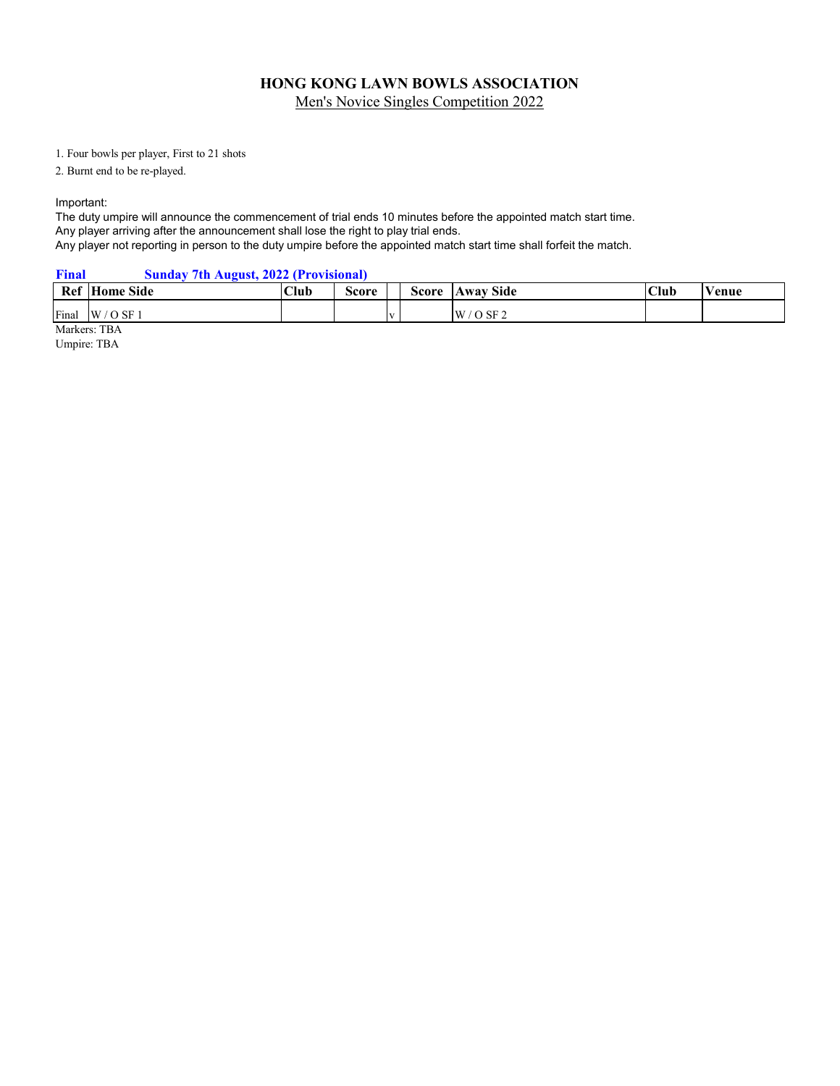1. Four bowls per player, First to 21 shots

2. Burnt end to be re-played.

Important:

The duty umpire will announce the commencement of trial ends 10 minutes before the appointed match start time. Any player arriving after the announcement shall lose the right to play trial ends. Any player not reporting in person to the duty umpire before the appointed match start time shall forfeit the match.

#### **Final Sunday 7th August, 2022 (Provisional)**

| Ref H | <b>Side</b><br>lome | <b>Club</b> | score |              | Score | <b>Side</b><br><b>AWAV</b><br>$\mathbf{A}$ wa | Club | Venue |
|-------|---------------------|-------------|-------|--------------|-------|-----------------------------------------------|------|-------|
| Final | W<br>/ O SF 1       |             |       | $\mathbf{v}$ |       | SF <sub>2</sub><br>W                          |      |       |

Markers: TBA

Umpire: TBA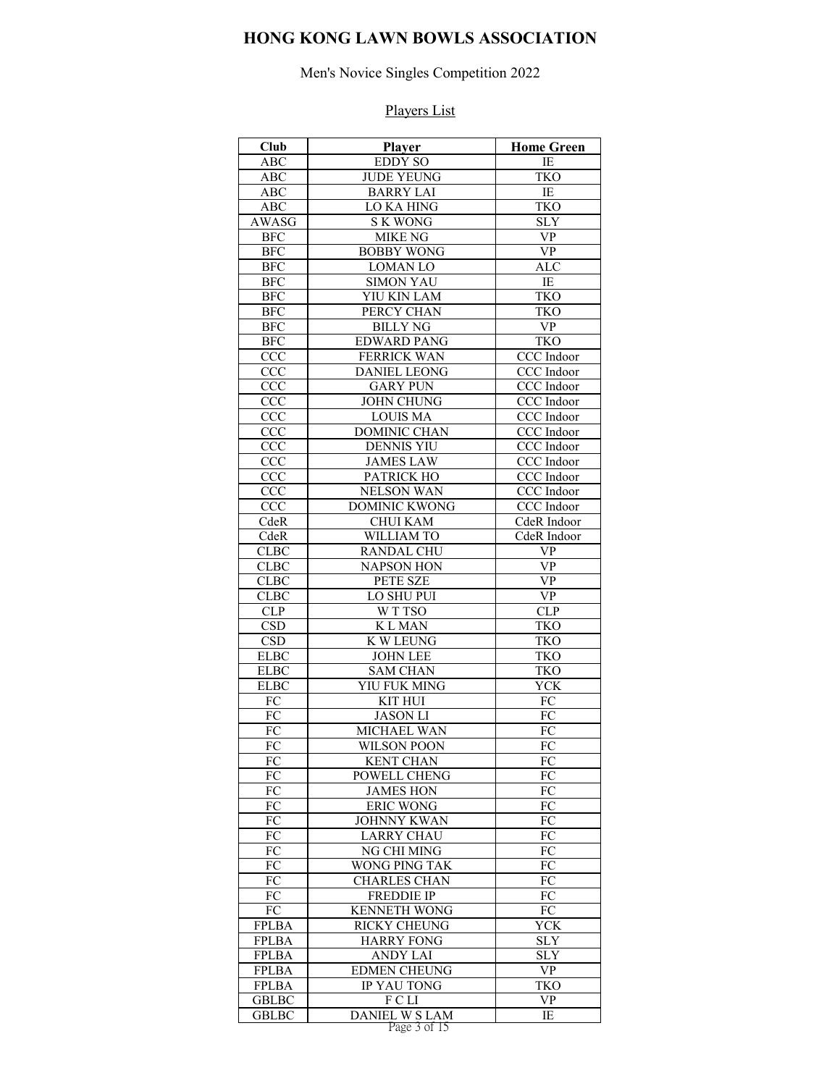# Men's Novice Singles Competition 2022

| Club              | Player                                    | <b>Home Green</b>                 |
|-------------------|-------------------------------------------|-----------------------------------|
| ABC               | <b>EDDY SO</b>                            | IE                                |
| ABC               | <b>JUDE YEUNG</b>                         | <b>TKO</b>                        |
| ABC               | <b>BARRY LAI</b>                          | $\rm IE$                          |
| <b>ABC</b>        | LO KA HING                                | <b>TKO</b>                        |
| AWASG             | <b>SK WONG</b>                            | <b>SLY</b>                        |
| <b>BFC</b>        | <b>MIKE NG</b>                            | <b>VP</b>                         |
| <b>BFC</b>        | <b>BOBBY WONG</b>                         | <b>VP</b>                         |
| <b>BFC</b>        | <b>LOMAN LO</b>                           | <b>ALC</b>                        |
| <b>BFC</b>        | <b>SIMON YAU</b>                          | IE                                |
| <b>BFC</b>        | YIU KIN LAM                               | <b>TKO</b>                        |
| <b>BFC</b>        | PERCY CHAN                                | <b>TKO</b>                        |
| <b>BFC</b>        | <b>BILLY NG</b>                           | <b>VP</b>                         |
| <b>BFC</b>        | <b>EDWARD PANG</b>                        | <b>TKO</b>                        |
| CCC               | <b>FERRICK WAN</b><br><b>DANIEL LEONG</b> | CCC Indoor                        |
| CCC               |                                           | CCC Indoor                        |
| <b>CCC</b>        | <b>GARY PUN</b>                           | CCC Indoor<br>CCC Indoor          |
| <b>CCC</b><br>CCC | <b>JOHN CHUNG</b><br><b>LOUIS MA</b>      | CCC Indoor                        |
| CCC               | <b>DOMINIC CHAN</b>                       | CCC Indoor                        |
| CCC               | <b>DENNIS YIU</b>                         | CCC Indoor                        |
| <b>CCC</b>        | <b>JAMES LAW</b>                          | CCC Indoor                        |
| CCC               | <b>PATRICK HO</b>                         | CCC Indoor                        |
| CCC               | <b>NELSON WAN</b>                         | CCC Indoor                        |
| CCC               | <b>DOMINIC KWONG</b>                      | CCC Indoor                        |
| CdeR              | <b>CHUI KAM</b>                           | CdeR Indoor                       |
| <b>CdeR</b>       | WILLIAM TO                                | CdeR Indoor                       |
| <b>CLBC</b>       | <b>RANDAL CHU</b>                         | VP                                |
| <b>CLBC</b>       | NAPSON HON                                | VP                                |
| <b>CLBC</b>       | PETE SZE                                  | <b>VP</b>                         |
| <b>CLBC</b>       | LO SHU PUI                                | $\ensuremath{\mathsf{VP}}\xspace$ |
| CLP               | WTTSO                                     | <b>CLP</b>                        |
| <b>CSD</b>        | <b>KLMAN</b>                              | <b>TKO</b>                        |
| CSD               | <b>K W LEUNG</b>                          | <b>TKO</b>                        |
| <b>ELBC</b>       | <b>JOHN LEE</b>                           | <b>TKO</b>                        |
| <b>ELBC</b>       | <b>SAM CHAN</b>                           | <b>TKO</b>                        |
| <b>ELBC</b>       | YIU FUK MING                              | <b>YCK</b>                        |
| FC                | <b>KIT HUI</b>                            | <b>FC</b>                         |
| ${\rm FC}$        | <b>JASON LI</b>                           | FC                                |
| ${\rm FC}$        | MICHAEL WAN                               | ${\rm FC}$                        |
| FC                | <b>WILSON POON</b>                        | FC                                |
| FC                | <b>KENT CHAN</b>                          | FC                                |
| <b>FC</b>         | POWELL CHENG                              | FC                                |
| FC                | <b>JAMES HON</b>                          | FC                                |
| FC                | <b>ERIC WONG</b>                          | FC                                |
| FC                | <b>JOHNNY KWAN</b>                        | FC                                |
| FC                | <b>LARRY CHAU</b>                         | FC                                |
| FC                | NG CHI MING                               | FC                                |
| FC<br>FC          | <b>WONG PING TAK</b>                      | FC<br>FC                          |
| ${\rm FC}$        | <b>CHARLES CHAN</b><br><b>FREDDIE IP</b>  | ${\rm FC}$                        |
| FC                | <b>KENNETH WONG</b>                       | FC                                |
| <b>FPLBA</b>      | <b>RICKY CHEUNG</b>                       | <b>YCK</b>                        |
| <b>FPLBA</b>      | <b>HARRY FONG</b>                         | <b>SLY</b>                        |
| <b>FPLBA</b>      | <b>ANDY LAI</b>                           | <b>SLY</b>                        |
| <b>FPLBA</b>      | <b>EDMEN CHEUNG</b>                       | <b>VP</b>                         |
| <b>FPLBA</b>      | IP YAU TONG                               | <b>TKO</b>                        |
| <b>GBLBC</b>      | F C LI                                    | <b>VP</b>                         |
| <b>GBLBC</b>      | <b>DANIEL W S LAM</b>                     | IE                                |
|                   | Page 3 of 15                              |                                   |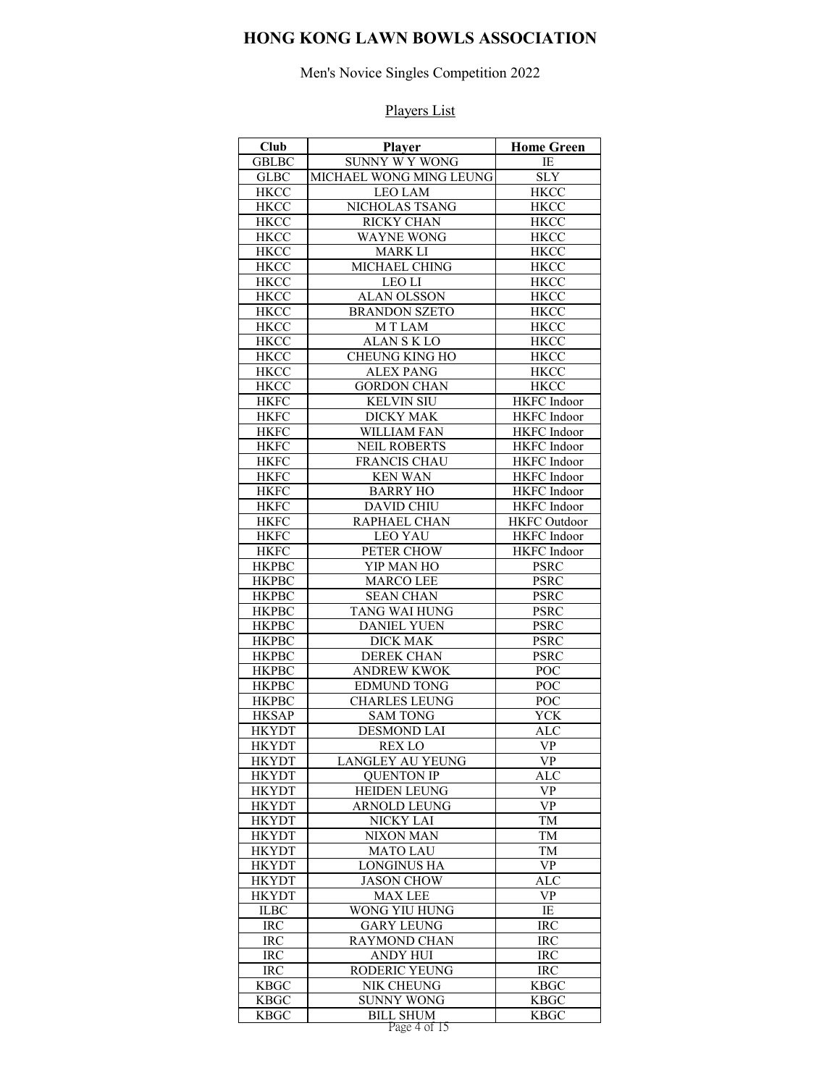# Men's Novice Singles Competition 2022

| Club                       | Player                            | <b>Home Green</b>                         |
|----------------------------|-----------------------------------|-------------------------------------------|
| <b>GBLBC</b>               | SUNNY W Y WONG                    | IE                                        |
| <b>GLBC</b>                | MICHAEL WONG MING LEUNG           | <b>SLY</b>                                |
| <b>HKCC</b>                | <b>LEO LAM</b>                    | <b>HKCC</b>                               |
| <b>HKCC</b>                | NICHOLAS TSANG                    | <b>HKCC</b>                               |
| <b>HKCC</b>                | RICKY CHAN                        | <b>HKCC</b>                               |
| <b>HKCC</b>                | <b>WAYNE WONG</b>                 | <b>HKCC</b>                               |
| <b>HKCC</b>                | <b>MARK LI</b>                    | <b>HKCC</b>                               |
| <b>HKCC</b>                | MICHAEL CHING                     | <b>HKCC</b>                               |
| <b>HKCC</b>                | <b>LEO LI</b>                     | <b>HKCC</b>                               |
| <b>HKCC</b>                | <b>ALAN OLSSON</b>                | <b>HKCC</b>                               |
| <b>HKCC</b>                | <b>BRANDON SZETO</b>              | <b>HKCC</b>                               |
| <b>HKCC</b>                | M T LAM                           | <b>HKCC</b>                               |
| <b>HKCC</b>                | <b>ALANSKLO</b>                   | <b>HKCC</b>                               |
| <b>HKCC</b>                | <b>CHEUNG KING HO</b>             | <b>HKCC</b>                               |
| <b>HKCC</b>                | <b>ALEX PANG</b>                  | <b>HKCC</b>                               |
| <b>HKCC</b>                | <b>GORDON CHAN</b>                | <b>HKCC</b>                               |
| <b>HKFC</b>                | <b>KELVIN SIU</b>                 | <b>HKFC</b> Indoor                        |
| <b>HKFC</b>                | <b>DICKY MAK</b>                  | <b>HKFC</b> Indoor                        |
| <b>HKFC</b>                | <b>WILLIAM FAN</b>                | <b>HKFC</b> Indoor                        |
| <b>HKFC</b>                | <b>NEIL ROBERTS</b>               | <b>HKFC</b> Indoor                        |
| <b>HKFC</b>                | <b>FRANCIS CHAU</b>               | <b>HKFC</b> Indoor                        |
| <b>HKFC</b>                | <b>KEN WAN</b><br><b>BARRY HO</b> | <b>HKFC</b> Indoor                        |
| <b>HKFC</b>                |                                   | <b>HKFC</b> Indoor                        |
| <b>HKFC</b><br><b>HKFC</b> | <b>DAVID CHIU</b><br>RAPHAEL CHAN | <b>HKFC</b> Indoor<br><b>HKFC</b> Outdoor |
| <b>HKFC</b>                | <b>LEO YAU</b>                    |                                           |
| <b>HKFC</b>                | PETER CHOW                        | <b>HKFC</b> Indoor<br><b>HKFC</b> Indoor  |
| <b>HKPBC</b>               | YIP MAN HO                        | <b>PSRC</b>                               |
| <b>HKPBC</b>               | <b>MARCO LEE</b>                  | <b>PSRC</b>                               |
| <b>HKPBC</b>               | <b>SEAN CHAN</b>                  | <b>PSRC</b>                               |
| <b>HKPBC</b>               | TANG WAI HUNG                     | <b>PSRC</b>                               |
| <b>HKPBC</b>               | <b>DANIEL YUEN</b>                | <b>PSRC</b>                               |
| <b>HKPBC</b>               | <b>DICK MAK</b>                   | <b>PSRC</b>                               |
| <b>HKPBC</b>               | <b>DEREK CHAN</b>                 | <b>PSRC</b>                               |
| <b>HKPBC</b>               | <b>ANDREW KWOK</b>                | POC                                       |
| <b>HKPBC</b>               | <b>EDMUND TONG</b>                | POC                                       |
| <b>HKPBC</b>               | <b>CHARLES LEUNG</b>              | POC                                       |
| <b>HKSAP</b>               | <b>SAM TONG</b>                   | YCK                                       |
| <b>HKYDT</b>               | <b>DESMOND LAI</b>                | <b>ALC</b>                                |
| <b>HKYDT</b>               | <b>REX LO</b>                     | VP                                        |
| <b>HKYDT</b>               | LANGLEY AU YEUNG                  | <b>VP</b>                                 |
| <b>HKYDT</b>               | <b>QUENTON IP</b>                 | <b>ALC</b>                                |
| <b>HKYDT</b>               | <b>HEIDEN LEUNG</b>               | VP                                        |
| <b>HKYDT</b>               | ARNOLD LEUNG                      | <b>VP</b>                                 |
| <b>HKYDT</b>               | NICKY LAI                         | TM                                        |
| <b>HKYDT</b>               | <b>NIXON MAN</b>                  | TM                                        |
| <b>HKYDT</b>               | <b>MATO LAU</b>                   | TM                                        |
| <b>HKYDT</b>               | <b>LONGINUS HA</b>                | <b>VP</b>                                 |
| <b>HKYDT</b>               | <b>JASON CHOW</b>                 | ALC                                       |
| <b>HKYDT</b>               | <b>MAX LEE</b>                    | <b>VP</b>                                 |
| <b>ILBC</b>                | WONG YIU HUNG                     | IE                                        |
| <b>IRC</b>                 | <b>GARY LEUNG</b>                 | <b>IRC</b>                                |
| <b>IRC</b>                 | <b>RAYMOND CHAN</b>               | <b>IRC</b>                                |
| IRC                        | <b>ANDY HUI</b>                   | <b>IRC</b>                                |
| $\rm{IRC}$                 | RODERIC YEUNG                     | <b>IRC</b>                                |
| <b>KBGC</b>                | NIK CHEUNG                        | <b>KBGC</b>                               |
| <b>KBGC</b>                | <b>SUNNY WONG</b>                 | <b>KBGC</b>                               |
| <b>KBGC</b>                | <b>BILL SHUM</b>                  | <b>KBGC</b>                               |
|                            | Page 4 of 15                      |                                           |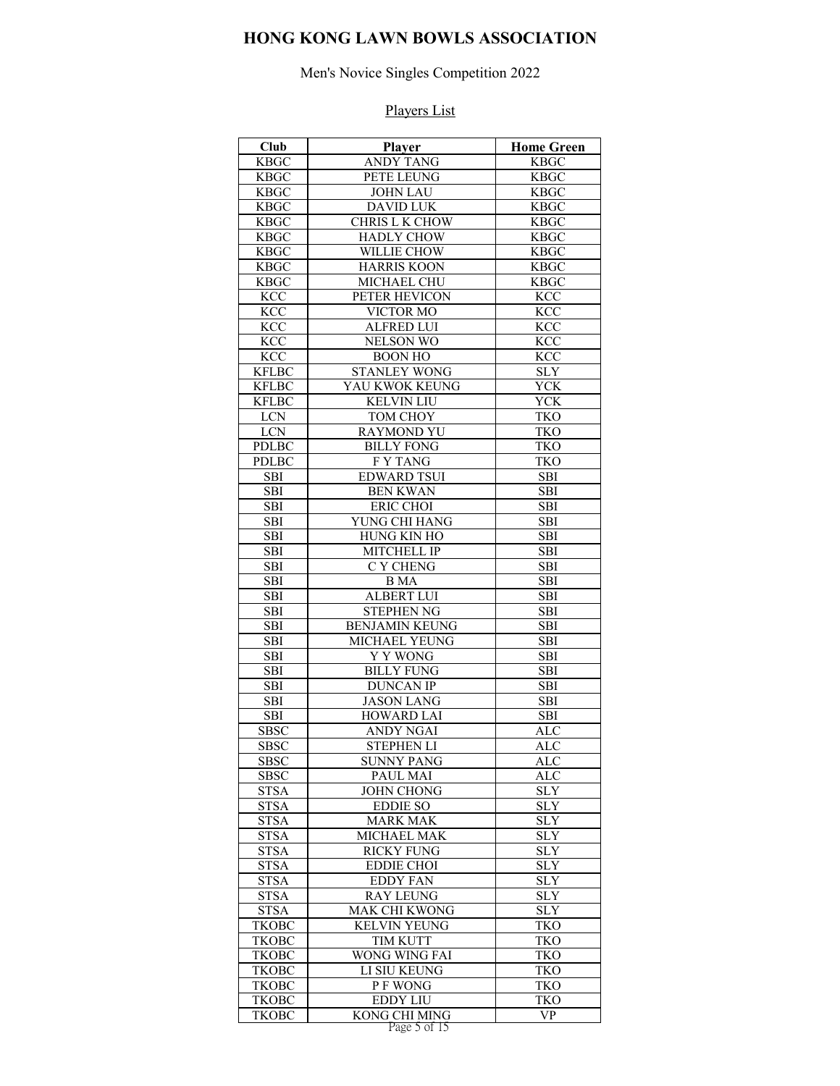Men's Novice Singles Competition 2022

| Club                       | Player                                | <b>Home Green</b> |
|----------------------------|---------------------------------------|-------------------|
| <b>KBGC</b>                | <b>ANDY TANG</b>                      | <b>KBGC</b>       |
| <b>KBGC</b>                | PETE LEUNG                            | <b>KBGC</b>       |
| <b>KBGC</b>                | <b>JOHN LAU</b>                       | <b>KBGC</b>       |
| <b>KBGC</b>                | <b>DAVID LUK</b>                      | <b>KBGC</b>       |
| <b>KBGC</b>                | CHRIS L K CHOW                        | <b>KBGC</b>       |
| <b>KBGC</b>                | <b>HADLY CHOW</b>                     | <b>KBGC</b>       |
| <b>KBGC</b>                | WILLIE CHOW                           | <b>KBGC</b>       |
| <b>KBGC</b>                | <b>HARRIS KOON</b>                    | <b>KBGC</b>       |
| <b>KBGC</b>                | MICHAEL CHU                           | <b>KBGC</b>       |
| <b>KCC</b>                 | PETER HEVICON                         | <b>KCC</b>        |
| <b>KCC</b>                 | VICTOR MO                             | <b>KCC</b>        |
| <b>KCC</b>                 | <b>ALFRED LUI</b>                     | <b>KCC</b>        |
| <b>KCC</b>                 | <b>NELSON WO</b>                      | <b>KCC</b>        |
| <b>KCC</b>                 | <b>BOON HO</b>                        | <b>KCC</b>        |
| <b>KFLBC</b>               | <b>STANLEY WONG</b>                   | <b>SLY</b>        |
| <b>KFLBC</b>               | YAU KWOK KEUNG                        | YCK               |
| <b>KFLBC</b>               | <b>KELVIN LIU</b>                     | <b>YCK</b>        |
| <b>LCN</b>                 | TOM CHOY                              | <b>TKO</b>        |
| $LCN$                      | <b>RAYMOND YU</b>                     | <b>TKO</b>        |
| <b>PDLBC</b>               | <b>BILLY FONG</b>                     | <b>TKO</b>        |
| <b>PDLBC</b>               | <b>FY TANG</b>                        | <b>TKO</b>        |
| <b>SBI</b>                 | <b>EDWARD TSUI</b>                    | SBI               |
| <b>SBI</b>                 | <b>BEN KWAN</b>                       | SBI               |
| <b>SBI</b>                 | <b>ERIC CHOI</b>                      | <b>SBI</b>        |
| <b>SBI</b>                 | YUNG CHI HANG                         | SBI               |
| <b>SBI</b>                 | <b>HUNG KIN HO</b>                    | <b>SBI</b>        |
| <b>SBI</b>                 | <b>MITCHELL IP</b>                    | <b>SBI</b>        |
| <b>SBI</b>                 | C Y CHENG                             | <b>SBI</b>        |
| <b>SBI</b>                 | <b>B</b> MA                           | SBI               |
| <b>SBI</b>                 | <b>ALBERT LUI</b>                     | <b>SBI</b>        |
| <b>SBI</b>                 | <b>STEPHEN NG</b>                     | <b>SBI</b>        |
| <b>SBI</b>                 | <b>BENJAMIN KEUNG</b>                 | <b>SBI</b>        |
| <b>SBI</b>                 | MICHAEL YEUNG                         | <b>SBI</b>        |
| <b>SBI</b>                 | Y Y WONG                              | <b>SBI</b>        |
| <b>SBI</b>                 | <b>BILLY FUNG</b>                     | <b>SBI</b>        |
| <b>SBI</b>                 | <b>DUNCAN IP</b>                      | <b>SBI</b>        |
| <b>SBI</b>                 | <b>JASON LANG</b>                     | <b>SBI</b>        |
| <b>SBI</b>                 | <b>HOWARD LAI</b><br><b>ANDY NGAI</b> | <b>SBI</b>        |
| <b>SBSC</b><br><b>SBSC</b> |                                       | ALC<br><b>ALC</b> |
|                            | <b>STEPHEN LI</b>                     |                   |
| SBSC<br><b>SBSC</b>        | <b>SUNNY PANG</b><br>PAUL MAI         | ALC<br><b>ALC</b> |
| <b>STSA</b>                | <b>JOHN CHONG</b>                     | <b>SLY</b>        |
| <b>STSA</b>                | <b>EDDIE SO</b>                       | <b>SLY</b>        |
| <b>STSA</b>                | <b>MARK MAK</b>                       | <b>SLY</b>        |
| <b>STSA</b>                | MICHAEL MAK                           | <b>SLY</b>        |
| <b>STSA</b>                | <b>RICKY FUNG</b>                     | <b>SLY</b>        |
| <b>STSA</b>                | <b>EDDIE CHOI</b>                     | <b>SLY</b>        |
| <b>STSA</b>                | <b>EDDY FAN</b>                       | <b>SLY</b>        |
| <b>STSA</b>                | <b>RAY LEUNG</b>                      | <b>SLY</b>        |
| <b>STSA</b>                | MAK CHI KWONG                         | <b>SLY</b>        |
| <b>TKOBC</b>               | <b>KELVIN YEUNG</b>                   | <b>TKO</b>        |
| <b>TKOBC</b>               | TIM KUTT                              | <b>TKO</b>        |
| <b>TKOBC</b>               | WONG WING FAI                         | <b>TKO</b>        |
| <b>TKOBC</b>               | LI SIU KEUNG                          | TKO               |
| <b>TKOBC</b>               | P F WONG                              | <b>TKO</b>        |
| <b>TKOBC</b>               | <b>EDDY LIU</b>                       | TKO               |
| <b>TKOBC</b>               | <b>KONG CHI MING</b>                  | <b>VP</b>         |
|                            | Page 5 of 15                          |                   |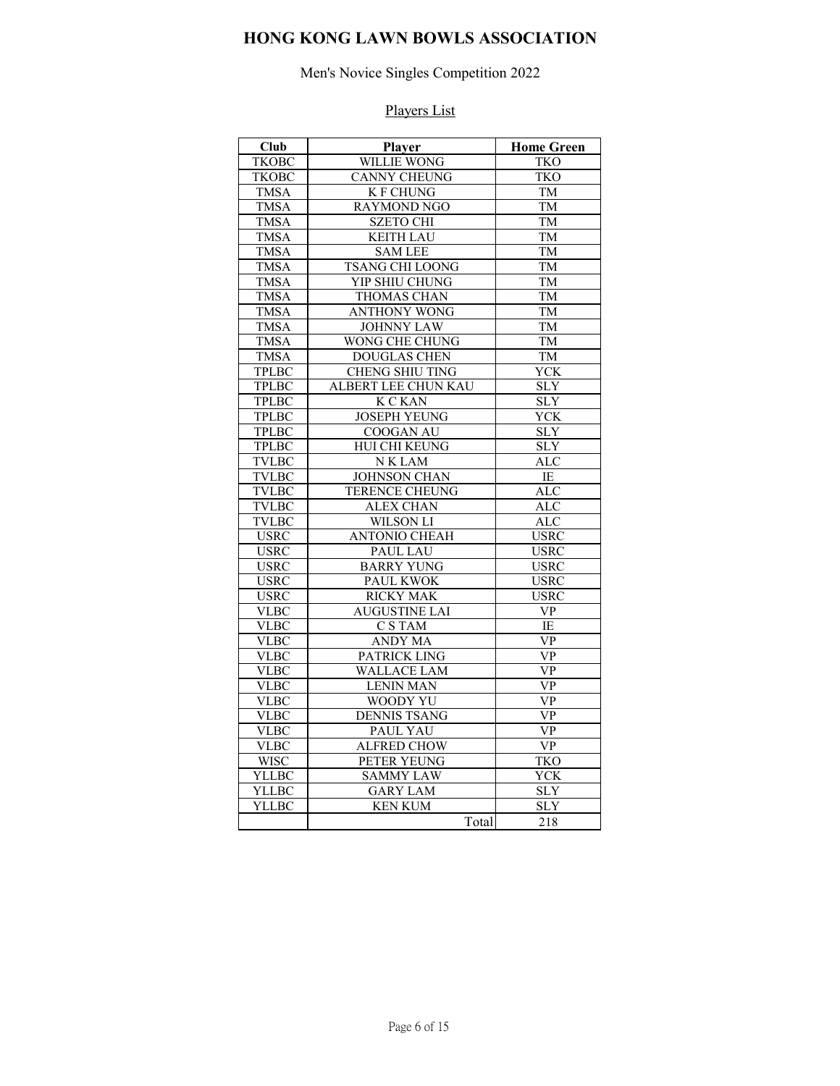# Men's Novice Singles Competition 2022

| <b>Club</b>  | Player                 | <b>Home Green</b>       |
|--------------|------------------------|-------------------------|
| <b>TKOBC</b> | <b>WILLIE WONG</b>     | TKO                     |
| <b>TKOBC</b> | <b>CANNY CHEUNG</b>    | <b>TKO</b>              |
| <b>TMSA</b>  | <b>K F CHUNG</b>       | TM                      |
| <b>TMSA</b>  | <b>RAYMOND NGO</b>     | <b>TM</b>               |
| <b>TMSA</b>  | <b>SZETO CHI</b>       | TM                      |
| <b>TMSA</b>  | <b>KEITH LAU</b>       | <b>TM</b>               |
| <b>TMSA</b>  | <b>SAM LEE</b>         | TM                      |
| <b>TMSA</b>  | <b>TSANG CHI LOONG</b> | TM                      |
| <b>TMSA</b>  | YIP SHIU CHUNG         | <b>TM</b>               |
| <b>TMSA</b>  | THOMAS CHAN            | TM                      |
| <b>TMSA</b>  | <b>ANTHONY WONG</b>    | TM                      |
| <b>TMSA</b>  | <b>JOHNNY LAW</b>      | TM                      |
| <b>TMSA</b>  | <b>WONG CHE CHUNG</b>  | TM                      |
| <b>TMSA</b>  | <b>DOUGLAS CHEN</b>    | <b>TM</b>               |
| <b>TPLBC</b> | <b>CHENG SHIU TING</b> | <b>YCK</b>              |
| <b>TPLBC</b> | ALBERT LEE CHUN KAU    | <b>SLY</b>              |
| <b>TPLBC</b> | <b>KCKAN</b>           | <b>SLY</b>              |
| <b>TPLBC</b> | <b>JOSEPH YEUNG</b>    | YCK                     |
| <b>TPLBC</b> | COOGAN AU              | $\overline{\text{SLY}}$ |
| <b>TPLBC</b> | HUI CHI KEUNG          | <b>SLY</b>              |
| <b>TVLBC</b> | <b>NKLAM</b>           | ALC                     |
| <b>TVLBC</b> | <b>JOHNSON CHAN</b>    | <b>IE</b>               |
| <b>TVLBC</b> | <b>TERENCE CHEUNG</b>  | <b>ALC</b>              |
| <b>TVLBC</b> | <b>ALEX CHAN</b>       | <b>ALC</b>              |
| <b>TVLBC</b> | WILSON LI              | <b>ALC</b>              |
| <b>USRC</b>  | <b>ANTONIO CHEAH</b>   | <b>USRC</b>             |
| <b>USRC</b>  | <b>PAUL LAU</b>        | <b>USRC</b>             |
| <b>USRC</b>  | <b>BARRY YUNG</b>      | <b>USRC</b>             |
| <b>USRC</b>  | PAUL KWOK              | <b>USRC</b>             |
| <b>USRC</b>  | <b>RICKY MAK</b>       | <b>USRC</b>             |
| <b>VLBC</b>  | <b>AUGUSTINE LAI</b>   | <b>VP</b>               |
| <b>VLBC</b>  | C S TAM                | IE                      |
| <b>VLBC</b>  | <b>ANDY MA</b>         | $\overline{VP}$         |
| <b>VLBC</b>  | <b>PATRICK LING</b>    | <b>VP</b>               |
| VLBC         | <b>WALLACE LAM</b>     | $\overline{\text{VP}}$  |
| <b>VLBC</b>  | <b>LENIN MAN</b>       | VP                      |
| <b>VLBC</b>  | <b>WOODY YU</b>        | <b>VP</b>               |
| <b>VLBC</b>  | <b>DENNIS TSANG</b>    | $\overline{VP}$         |
| <b>VLBC</b>  | PAUL YAU               | <b>VP</b>               |
| <b>VLBC</b>  | <b>ALFRED CHOW</b>     | <b>VP</b>               |
| <b>WISC</b>  | PETER YEUNG            | <b>TKO</b>              |
| <b>YLLBC</b> | <b>SAMMY LAW</b>       | <b>YCK</b>              |
| <b>YLLBC</b> | <b>GARY LAM</b>        | <b>SLY</b>              |
| <b>YLLBC</b> | <b>KEN KUM</b>         | <b>SLY</b>              |
|              | Total                  | 218                     |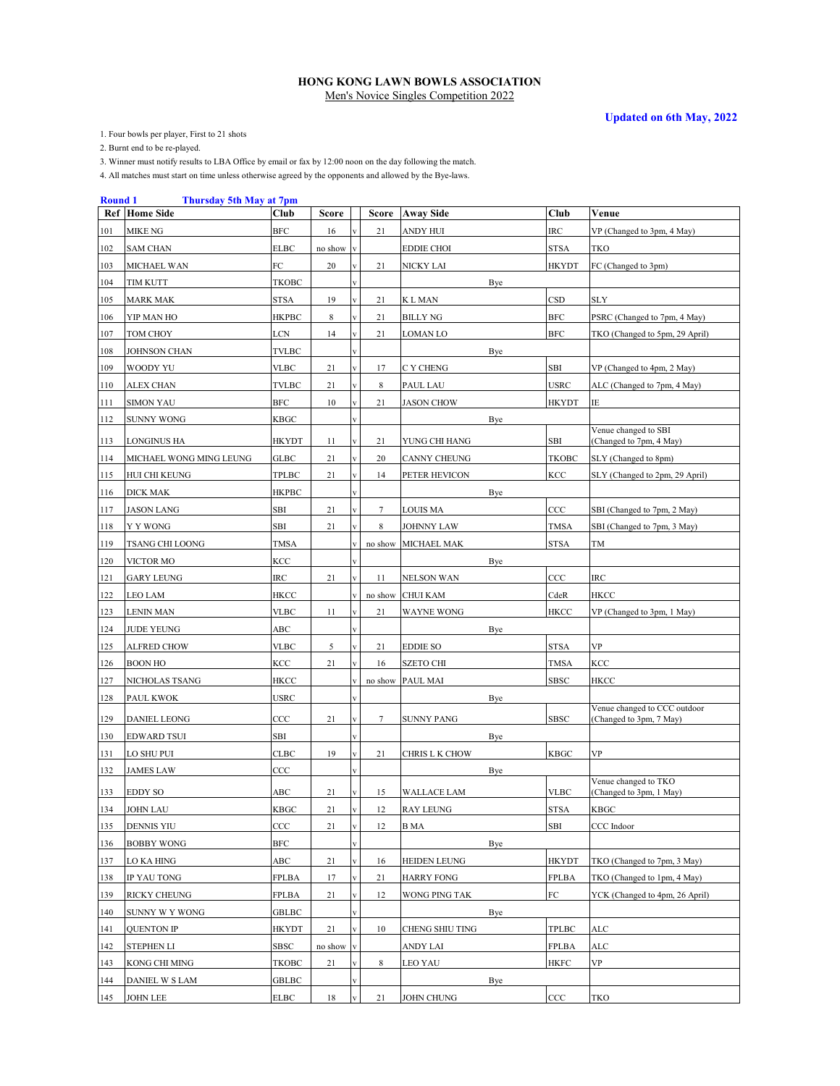**Updated on 6th May, 2022**

1. Four bowls per player, First to 21 shots

2. Burnt end to be re-played.

3. Winner must notify results to LBA Office by email or fax by 12:00 noon on the day following the match.

| <b>Round 1</b> | <b>Thursday 5th May at 7pm</b> |              |         |                         |         |                     |              |                                                         |
|----------------|--------------------------------|--------------|---------|-------------------------|---------|---------------------|--------------|---------------------------------------------------------|
|                | <b>Ref</b> Home Side           | Club         | Score   |                         | Score   | <b>Away Side</b>    | Club         | Venue                                                   |
| 101            | <b>MIKE NG</b>                 | BFC          | 16      |                         | 21      | <b>ANDY HUI</b>     | <b>IRC</b>   | VP (Changed to 3pm, 4 May)                              |
| 102            | <b>SAM CHAN</b>                | <b>ELBC</b>  | no show |                         |         | <b>EDDIE CHOI</b>   | <b>STSA</b>  | TKO                                                     |
| 103            | MICHAEL WAN                    | FC           | 20      |                         | 21      | NICKY LAI           | <b>HKYDT</b> | FC (Changed to 3pm)                                     |
| 104            | TIM KUTT                       | <b>TKOBC</b> |         |                         |         | Bye                 |              |                                                         |
| 105            | <b>MARK MAK</b>                | STSA         | 19      | $\bar{\mathbf{V}}$      | 21      | K L MAN             | <b>CSD</b>   | <b>SLY</b>                                              |
| 106            | YIP MAN HO                     | HKPBC        | 8       |                         | 21      | <b>BILLY NG</b>     | <b>BFC</b>   | PSRC (Changed to 7pm, 4 May)                            |
| 107            | TOM CHOY                       | LCN          | 14      |                         | 21      | LOMAN LO            | <b>BFC</b>   | TKO (Changed to 5pm, 29 April)                          |
| 108            | <b>JOHNSON CHAN</b>            | <b>TVLBC</b> |         |                         |         | Bye                 |              |                                                         |
| 109            | WOODY YU                       | VLBC         | 21      |                         | 17      | C Y CHENG           | SBI          | VP (Changed to 4pm, 2 May)                              |
| 110            | <b>ALEX CHAN</b>               | <b>TVLBC</b> | 21      |                         | 8       | PAUL LAU            | <b>USRC</b>  | ALC (Changed to 7pm, 4 May)                             |
| 111            | <b>SIMON YAU</b>               | <b>BFC</b>   | 10      |                         | 21      | <b>JASON CHOW</b>   | <b>HKYDT</b> | IE                                                      |
| 112            | <b>SUNNY WONG</b>              | KBGC         |         |                         |         | Bye                 |              |                                                         |
| 113            | <b>LONGINUS HA</b>             | <b>HKYDT</b> | 11      | $\overline{\mathbf{V}}$ | 21      | YUNG CHI HANG       | SBI          | Venue changed to SBI<br>(Changed to 7pm, 4 May)         |
| 114            | MICHAEL WONG MING LEUNG        | GLBC         | 21      | $\overline{\mathbf{v}}$ | 20      | <b>CANNY CHEUNG</b> | <b>TKOBC</b> | SLY (Changed to 8pm)                                    |
| 115            | HUI CHI KEUNG                  | TPLBC        | 21      |                         | 14      | PETER HEVICON       | KCC          | SLY (Changed to 2pm, 29 April)                          |
| 116            | <b>DICK MAK</b>                | <b>HKPBC</b> |         |                         |         | Bye                 |              |                                                         |
| 117            | <b>JASON LANG</b>              | SBI          | 21      |                         | 7       | <b>LOUIS MA</b>     | CCC          | SBI (Changed to 7pm, 2 May)                             |
| 118            | Y Y WONG                       | SBI          | 21      |                         | 8       | <b>JOHNNY LAW</b>   | <b>TMSA</b>  | SBI (Changed to 7pm, 3 May)                             |
| 119            | <b>TSANG CHI LOONG</b>         | <b>TMSA</b>  |         |                         | no show | MICHAEL MAK         | <b>STSA</b>  | TM                                                      |
| 120            | VICTOR MO                      | KCC          |         |                         |         | Bye                 |              |                                                         |
| 121            | <b>GARY LEUNG</b>              | IRC          | 21      |                         | 11      | <b>NELSON WAN</b>   | CCC          | <b>IRC</b>                                              |
| 122            | <b>LEO LAM</b>                 | HKCC         |         |                         | no show | <b>CHUI KAM</b>     | CdeR         | HKCC                                                    |
| 123            | <b>LENIN MAN</b>               | VLBC         | 11      |                         | 21      | <b>WAYNE WONG</b>   | <b>HKCC</b>  | VP (Changed to 3pm, 1 May)                              |
| 124            | <b>JUDE YEUNG</b>              | ABC          |         |                         |         | Bye                 |              |                                                         |
| 125            | <b>ALFRED CHOW</b>             | <b>VLBC</b>  | 5       | $\overline{\mathbf{v}}$ | 21      | <b>EDDIE SO</b>     | <b>STSA</b>  | VP                                                      |
| 126            | <b>BOON HO</b>                 | KCC          | 21      | $\overline{\mathbf{v}}$ | 16      | <b>SZETO CHI</b>    | <b>TMSA</b>  | KCC                                                     |
| 127            | NICHOLAS TSANG                 | HKCC         |         |                         |         | no show PAUL MAI    | <b>SBSC</b>  | HKCC                                                    |
| 128            | <b>PAUL KWOK</b>               | <b>USRC</b>  |         |                         |         | Bye                 |              |                                                         |
| 129            | <b>DANIEL LEONG</b>            | CCC          | 21      |                         | 7       | <b>SUNNY PANG</b>   | <b>SBSC</b>  | Venue changed to CCC outdoor<br>(Changed to 3pm, 7 May) |
| 130            | EDWARD TSUI                    | SBI          |         |                         |         | Bye                 |              |                                                         |
| 131            | LO SHU PUI                     | <b>CLBC</b>  | 19      | $\overline{\mathbf{V}}$ | 21      | CHRIS L K CHOW      | <b>KBGC</b>  | VP                                                      |
| 132            | <b>JAMES LAW</b>               | $_{\rm CCC}$ |         |                         |         | Bye                 |              |                                                         |
| 133            | <b>EDDY SO</b>                 | ABC          | 21      |                         | 15      | <b>WALLACE LAM</b>  | <b>VLBC</b>  | Venue changed to TKO<br>(Changed to 3pm, 1 May)         |
| 134            | <b>JOHN LAU</b>                | <b>KBGC</b>  | 21      | $\mathbf{V}$            | 12      | <b>RAY LEUNG</b>    | <b>STSA</b>  | <b>KBGC</b>                                             |
| 135            | <b>DENNIS YIU</b>              | CCC          | 21      | $\overline{\mathbf{v}}$ | 12      | B MA                | SBI          | CCC Indoor                                              |
| 136            | BOBBY WONG                     | BFC          |         |                         |         | Bye                 |              |                                                         |
|                |                                |              |         | $\overline{\mathbf{V}}$ |         |                     |              |                                                         |
| 137            | LO KA HING                     | ABC          | 21      |                         | 16      | <b>HEIDEN LEUNG</b> | <b>HKYDT</b> | TKO (Changed to 7pm, 3 May)                             |
| 138            | IP YAU TONG                    | FPLBA        | 17      | $\overline{\mathbf{v}}$ | 21      | <b>HARRY FONG</b>   | <b>FPLBA</b> | TKO (Changed to 1pm, 4 May)                             |
| 139            | <b>RICKY CHEUNG</b>            | FPLBA        | 21      |                         | 12      | WONG PING TAK       | FC           | YCK (Changed to 4pm, 26 April)                          |
| 140            | <b>SUNNY W Y WONG</b>          | GBLBC        |         |                         |         | Bye                 |              |                                                         |
| 141            | <b>QUENTON IP</b>              | HKYDT        | 21      |                         | 10      | CHENG SHIU TING     | TPLBC        | ALC                                                     |
| 142            | <b>STEPHEN LI</b>              | SBSC         | no show |                         |         | ANDY LAI            | <b>FPLBA</b> | ALC                                                     |
| 143            | KONG CHI MING                  | ТКОВС        | 21      |                         | 8       | LEO YAU             | HKFC         | VP                                                      |
| 144            | DANIEL W S LAM                 | GBLBC        |         |                         |         | Bye                 |              |                                                         |
| 145            | <b>JOHN LEE</b>                | ELBC         | 18      |                         | 21      | <b>JOHN CHUNG</b>   | CCC          | TKO                                                     |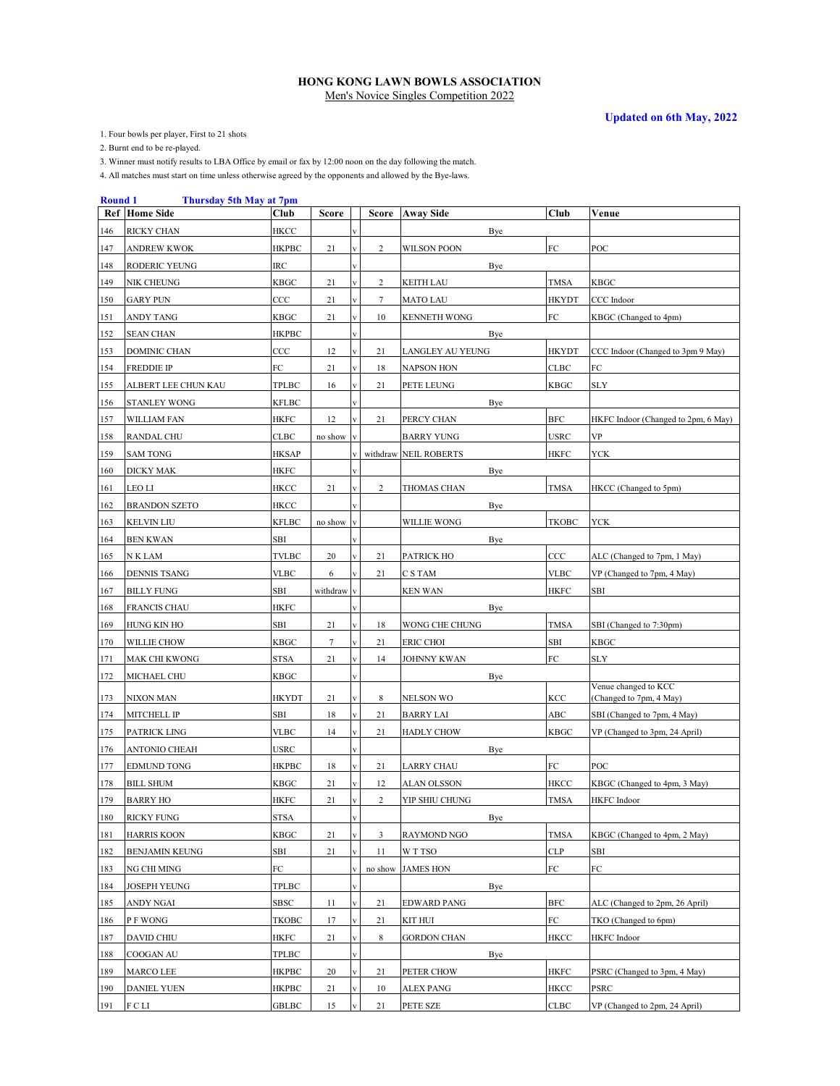**Updated on 6th May, 2022**

1. Four bowls per player, First to 21 shots

2. Burnt end to be re-played.

3. Winner must notify results to LBA Office by email or fax by 12:00 noon on the day following the match.

| <b>Round</b> 1 | Thursday 5th May at 7pm    |              |                 |                         |                |                       |              |                                     |
|----------------|----------------------------|--------------|-----------------|-------------------------|----------------|-----------------------|--------------|-------------------------------------|
|                | <b>Ref</b> Home Side       | Club         | Score           |                         |                | Score Away Side       | Club         | Venue                               |
| 146            | <b>RICKY CHAN</b>          | HKCC         |                 |                         |                | Bye                   |              |                                     |
| 147            | <b>ANDREW KWOK</b>         | <b>HKPBC</b> | 21              | v                       | $\overline{c}$ | <b>WILSON POON</b>    | ${\rm FC}$   | POC                                 |
| 148            | RODERIC YEUNG              | IRC          |                 |                         |                | Bye                   |              |                                     |
| 149            | NIK CHEUNG                 | KBGC         | 21              |                         | 2              | <b>KEITH LAU</b>      | <b>TMSA</b>  | KBGC                                |
| 150            | <b>GARY PUN</b>            | CCC          | 21              | V                       | 7              | <b>MATO LAU</b>       | <b>HKYDT</b> | CCC Indoor                          |
| 151            | ANDY TANG                  | KBGC         | 21              | V                       | 10             | <b>KENNETH WONG</b>   | ${\rm FC}$   | KBGC (Changed to 4pm)               |
| 152            | <b>SEAN CHAN</b>           | <b>HKPBC</b> |                 |                         |                | Bye                   |              |                                     |
| 153            | DOMINIC CHAN               | CCC          | 12              | $\overline{\mathbf{V}}$ | 21             | LANGLEY AU YEUNG      | <b>HKYDT</b> | CCC Indoor (Changed to 3pm 9 May)   |
| 154            | <b>FREDDIE IP</b>          | FC           | 21              |                         | 18             | <b>NAPSON HON</b>     | CLBC         | ${\rm FC}$                          |
| 155            | ALBERT LEE CHUN KAU        | <b>TPLBC</b> | 16              |                         | 21             | PETE LEUNG            | <b>KBGC</b>  | SLY                                 |
| 156            | <b>STANLEY WONG</b>        | <b>KFLBC</b> |                 |                         |                | Bye                   |              |                                     |
| 157            | WILLIAM FAN                | HKFC         | 12              |                         | 21             | PERCY CHAN            | <b>BFC</b>   | HKFC Indoor (Changed to 2pm, 6 May) |
| 158            | <b>RANDAL CHU</b>          | CLBC         | no show         |                         |                | <b>BARRY YUNG</b>     | <b>USRC</b>  | VP                                  |
| 159            | <b>SAM TONG</b>            | HKSAP        |                 |                         |                | withdraw NEIL ROBERTS | HKFC         | YCK                                 |
| 160            | <b>DICKY MAK</b>           | HKFC         |                 |                         |                | Bye                   |              |                                     |
| 161            | LEO LI                     | HKCC         | 21              |                         | 2              | <b>THOMAS CHAN</b>    | TMSA         | HKCC (Changed to 5pm)               |
| 162            | <b>BRANDON SZETO</b>       | HKCC         |                 |                         |                | Bye                   |              |                                     |
| 163            | <b>KELVIN LIU</b>          | <b>KFLBC</b> | no show         |                         |                | <b>WILLIE WONG</b>    | <b>TKOBC</b> | <b>YCK</b>                          |
| 164            | <b>BEN KWAN</b>            | SBI          |                 |                         |                | Bye                   |              |                                     |
| 165            | N K LAM                    | <b>TVLBC</b> | 20              | $\overline{\mathbf{v}}$ | 21             | PATRICK HO            | ccc          | ALC (Changed to 7pm, 1 May)         |
| 166            | <b>DENNIS TSANG</b>        | <b>VLBC</b>  | 6               |                         | 21             | C S TAM               | <b>VLBC</b>  | VP (Changed to 7pm, 4 May)          |
| 167            | <b>BILLY FUNG</b>          | SBI          | withdraw        |                         |                | <b>KEN WAN</b>        | HKFC         | SBI                                 |
|                | <b>FRANCIS CHAU</b>        | <b>HKFC</b>  |                 |                         |                |                       |              |                                     |
| 168            |                            | SBI          | 21              |                         |                | Bye<br>WONG CHE CHUNG | <b>TMSA</b>  | SBI (Changed to 7:30pm)             |
| 169<br>170     | HUNG KIN HO<br>WILLIE CHOW | KBGC         | $7\phantom{.0}$ |                         | 18<br>21       | ERIC CHOI             | SBI          | KBGC                                |
|                |                            |              |                 |                         |                |                       | FC           |                                     |
| 171            | <b>MAK CHI KWONG</b>       | STSA         | 21              |                         | 14             | <b>JOHNNY KWAN</b>    |              | SLY                                 |
| 172            | MICHAEL CHU                | KBGC         |                 |                         |                | Bye                   |              | Venue changed to KCC                |
| 173            | <b>NIXON MAN</b>           | HKYDT        | 21              |                         | 8              | <b>NELSON WO</b>      | KCC          | (Changed to 7pm, 4 May)             |
| 174            | <b>MITCHELL IP</b>         | SBI          | 18              |                         | 21             | <b>BARRY LAI</b>      | ABC          | SBI (Changed to 7pm, 4 May)         |
| 175            | PATRICK LING               | <b>VLBC</b>  | 14              |                         | 21             | <b>HADLY CHOW</b>     | <b>KBGC</b>  | VP (Changed to 3pm, 24 April)       |
| 176            | ANTONIO CHEAH              | USRC         |                 |                         |                | Bye                   |              |                                     |
| 177            | <b>EDMUND TONG</b>         | HKPBC        | 18              |                         | 21             | <b>LARRY CHAU</b>     | FC           | POC                                 |
| 178            | <b>BILL SHUM</b>           | KBGC         | 21              |                         | 12             | ALAN OLSSON           | HKCC         | KBGC (Changed to 4pm, 3 May)        |
| 179            | <b>BARRY HO</b>            | HKFC         | 21              |                         | 2              | YIP SHIU CHUNG        | TMSA         | <b>HKFC</b> Indoor                  |
| 180            | <b>RICKY FUNG</b>          | STSA         |                 | $\mathbf V$             |                | <b>Bye</b>            |              |                                     |
| 181            | <b>HARRIS KOON</b>         | KBGC         | 21              | V                       | 3              | RAYMOND NGO           | <b>TMSA</b>  | KBGC (Changed to 4pm, 2 May)        |
| 182            | <b>BENJAMIN KEUNG</b>      | SBI          | 21              | $\mathbf{V}$            | 11             | W T TSO               | <b>CLP</b>   | SBI                                 |
| 183            | NG CHI MING                | FC           |                 |                         |                | no show JAMES HON     | ${\rm FC}$   | FC                                  |
| 184            | <b>JOSEPH YEUNG</b>        | TPLBC        |                 |                         |                | Bye                   |              |                                     |
| 185            | ANDY NGAI                  | SBSC         | 11              | $\bar{\mathbf{V}}$      | 21             | <b>EDWARD PANG</b>    | <b>BFC</b>   | ALC (Changed to 2pm, 26 April)      |
| 186            | P F WONG                   | ТКОВС        | 17              |                         | 21             | KIT HUI               | ${\rm FC}$   | TKO (Changed to 6pm)                |
| 187            | <b>DAVID CHIU</b>          | HKFC         | 21              |                         | 8              | <b>GORDON CHAN</b>    | <b>HKCC</b>  | HKFC Indoor                         |
| 188            | COOGAN AU                  | TPLBC        |                 |                         |                | Bye                   |              |                                     |
| 189            | MARCO LEE                  | <b>HKPBC</b> | 20              |                         | 21             | PETER CHOW            | HKFC         | PSRC (Changed to 3pm, 4 May)        |
| 190            | <b>DANIEL YUEN</b>         | HKPBC        | 21              |                         | 10             | ALEX PANG             | HKCC         | PSRC                                |
| 191            | FCLI                       | GBLBC        | 15              |                         | 21             | PETE SZE              | CLBC         | VP (Changed to 2pm, 24 April)       |
|                |                            |              |                 |                         |                |                       |              |                                     |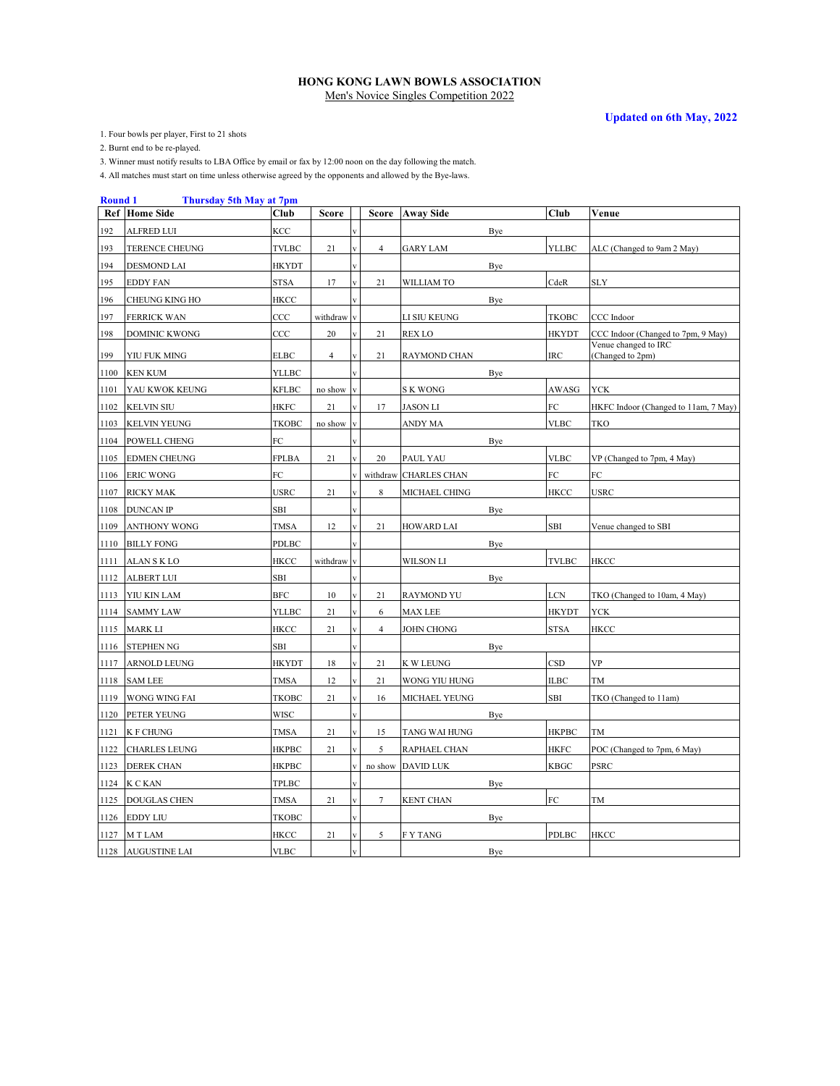**Updated on 6th May, 2022**

1. Four bowls per player, First to 21 shots

2. Burnt end to be re-played.

3. Winner must notify results to LBA Office by email or fax by 12:00 noon on the day following the match.

| <b>Round 1</b> | <b>Thursday 5th May at 7pm</b> |              |                |                         |                |                       |     |              |                                          |
|----------------|--------------------------------|--------------|----------------|-------------------------|----------------|-----------------------|-----|--------------|------------------------------------------|
| Ref            | <b>Home Side</b>               | <b>Club</b>  | <b>Score</b>   |                         | <b>Score</b>   | <b>Away Side</b>      |     | Club         | Venue                                    |
| 192            | <b>ALFRED LUI</b>              | KCC          |                |                         |                |                       | Bye |              |                                          |
| 193            | TERENCE CHEUNG                 | <b>TVLBC</b> | 21             | $\overline{\mathbf{v}}$ | $\overline{4}$ | <b>GARY LAM</b>       |     | <b>YLLBC</b> | ALC (Changed to 9am 2 May)               |
| 194            | <b>DESMOND LAI</b>             | <b>HKYDT</b> |                |                         |                |                       | Bye |              |                                          |
| 195            | <b>EDDY FAN</b>                | STSA         | 17             |                         | 21             | WILLIAM TO            |     | CdeR         | SLY                                      |
| 196            | <b>CHEUNG KING HO</b>          | HKCC         |                |                         |                |                       | Bye |              |                                          |
| 197            | <b>FERRICK WAN</b>             | CCC          | withdraw       | $\overline{\mathbf{v}}$ |                | LI SIU KEUNG          |     | <b>TKOBC</b> | CCC Indoor                               |
| 198            | <b>DOMINIC KWONG</b>           | CCC          | 20             | $\overline{\mathbf{V}}$ | 21             | <b>REX LO</b>         |     | <b>HKYDT</b> | CCC Indoor (Changed to 7pm, 9 May)       |
| 199            | YIU FUK MING                   | <b>ELBC</b>  | $\overline{4}$ | v                       | 21             | RAYMOND CHAN          |     | IRC          | Venue changed to IRC<br>(Changed to 2pm) |
| 1100           | <b>KEN KUM</b>                 | <b>YLLBC</b> |                |                         |                |                       | Bye |              |                                          |
| 1101           | YAU KWOK KEUNG                 | <b>KFLBC</b> | no show        | $\bar{\mathbf{V}}$      |                | S K WONG              |     | AWASG        | <b>YCK</b>                               |
| 1102           | <b>KELVIN SIU</b>              | <b>HKFC</b>  | 21             |                         | 17             | <b>JASON LI</b>       |     | FC           | HKFC Indoor (Changed to 11am, 7 May)     |
| 1103           | <b>KELVIN YEUNG</b>            | <b>TKOBC</b> | no show        |                         |                | ANDY MA               |     | <b>VLBC</b>  | TKO                                      |
| 1104           | POWELL CHENG                   | FC           |                |                         |                |                       | Bye |              |                                          |
| 1105           | <b>EDMEN CHEUNG</b>            | <b>FPLBA</b> | 21             | $\overline{\mathbf{V}}$ | 20             | PAUL YAU              |     | <b>VLBC</b>  | VP (Changed to 7pm, 4 May)               |
| 1106           | <b>ERIC WONG</b>               | FC           |                |                         |                | withdraw CHARLES CHAN |     | FC           | ${\rm FC}$                               |
| 1107           | <b>RICKY MAK</b>               | <b>USRC</b>  | 21             |                         | 8              | MICHAEL CHING         |     | <b>HKCC</b>  | <b>USRC</b>                              |
| 1108           | <b>DUNCAN IP</b>               | <b>SBI</b>   |                |                         |                |                       | Bye |              |                                          |
| 1109           | ANTHONY WONG                   | <b>TMSA</b>  | 12             |                         | 21             | <b>HOWARD LAI</b>     |     | SBI          | Venue changed to SBI                     |
| 1110           | <b>BILLY FONG</b>              | PDLBC        |                |                         |                |                       | Bye |              |                                          |
| 1111           | <b>ALANSKLO</b>                | HKCC         | withdraw       | $\overline{\mathbf{V}}$ |                | WILSON LI             |     | <b>TVLBC</b> | <b>HKCC</b>                              |
| 1112           | <b>ALBERT LUI</b>              | SBI          |                |                         |                |                       | Bye |              |                                          |
| 1113           | YIU KIN LAM                    | <b>BFC</b>   | 10             |                         | 21             | <b>RAYMOND YU</b>     |     | $_{\rm LCN}$ | TKO (Changed to 10am, 4 May)             |
| 1114           | <b>SAMMY LAW</b>               | YLLBC        | 21             |                         | 6              | MAX LEE               |     | HKYDT        | <b>YCK</b>                               |
| 1115           | MARK LI                        | HKCC         | 21             |                         | 4              | <b>JOHN CHONG</b>     |     | <b>STSA</b>  | HKCC                                     |
| 1116           | <b>STEPHEN NG</b>              | SBI          |                |                         |                |                       | Bye |              |                                          |
| 1117           | ARNOLD LEUNG                   | HKYDT        | 18             |                         | 21             | K W LEUNG             |     | CSD          | <b>VP</b>                                |
| 1118           | <b>SAM LEE</b>                 | <b>TMSA</b>  | 12             |                         | 21             | WONG YIU HUNG         |     | <b>ILBC</b>  | TM                                       |
| 1119           | WONG WING FAI                  | <b>TKOBC</b> | 21             | $\mathbf{v}$            | 16             | MICHAEL YEUNG         |     | <b>SBI</b>   | TKO (Changed to 11am)                    |
| 1120           | PETER YEUNG                    | <b>WISC</b>  |                |                         |                |                       | Bye |              |                                          |
| 1121           | <b>K F CHUNG</b>               | <b>TMSA</b>  | 21             | $\overline{\mathbf{v}}$ | 15             | TANG WAI HUNG         |     | <b>HKPBC</b> | TM                                       |
| 1122           | <b>CHARLES LEUNG</b>           | <b>HKPBC</b> | 21             |                         | 5              | RAPHAEL CHAN          |     | <b>HKFC</b>  | POC (Changed to 7pm, 6 May)              |
| 1123           | <b>DEREK CHAN</b>              | HKPBC        |                |                         |                | no show DAVID LUK     |     | <b>KBGC</b>  | PSRC                                     |
|                | 1124 K C KAN                   | TPLBC        |                |                         |                |                       | Bye |              |                                          |
| 1125           | <b>DOUGLAS CHEN</b>            | <b>TMSA</b>  | 21             | $\mathbf{V}$            | 7              | <b>KENT CHAN</b>      |     | FC           | TM                                       |
| 1126           | <b>EDDY LIU</b>                | TKOBC        |                |                         |                |                       | Bye |              |                                          |
| 1127           | M T LAM                        | <b>HKCC</b>  | 21             | $\mathbf{V}$            | 5              | <b>FY TANG</b>        |     | PDLBC        | HKCC                                     |
|                | 1128 AUGUSTINE LAI             | <b>VLBC</b>  |                | $\mathbf{V}$            |                |                       | Bye |              |                                          |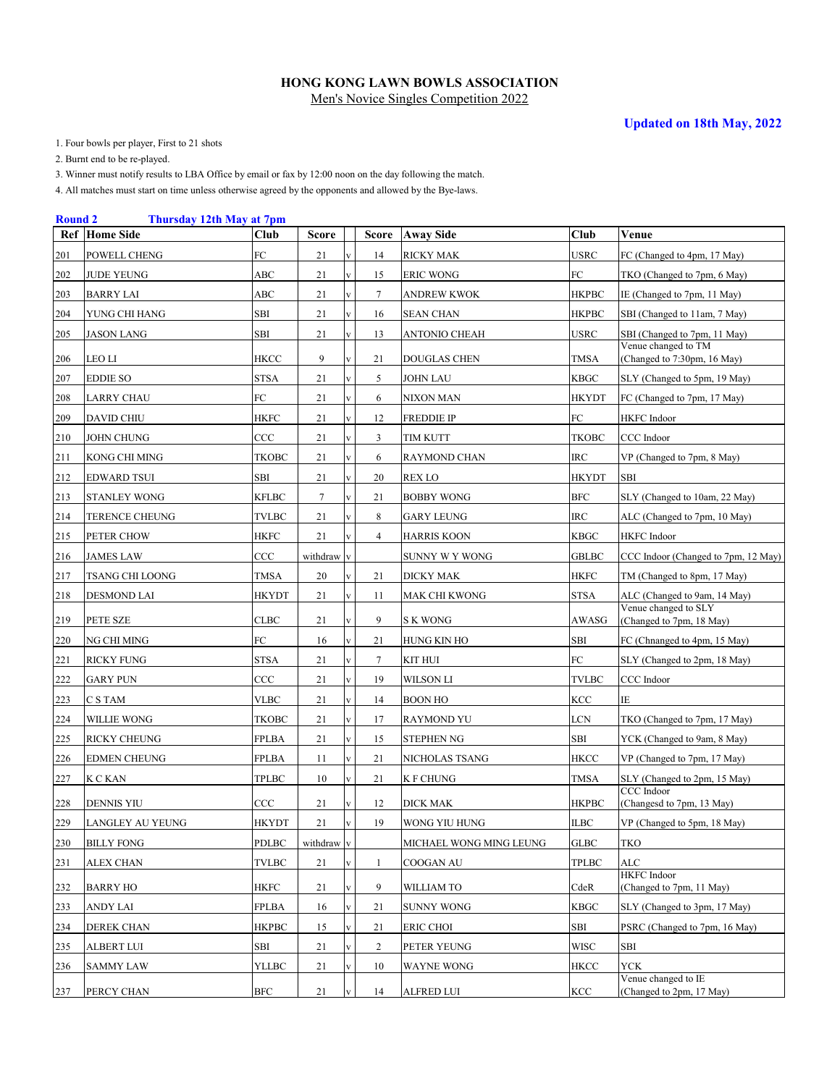1. Four bowls per player, First to 21 shots

2. Burnt end to be re-played.

3. Winner must notify results to LBA Office by email or fax by 12:00 noon on the day following the match.

| <b>Round 2</b> | Thursday 12th May at 7pm |              |              |              |                |                         |              |                                                    |
|----------------|--------------------------|--------------|--------------|--------------|----------------|-------------------------|--------------|----------------------------------------------------|
| Ref            | <b>Home Side</b>         | <b>Club</b>  | <b>Score</b> |              | <b>Score</b>   | <b>Away Side</b>        | Club         | Venue                                              |
| 201            | POWELL CHENG             | FC           | 21           | $\mathbf{V}$ | 14             | RICKY MAK               | USRC         | FC (Changed to 4pm, 17 May)                        |
| 202            | <b>JUDE YEUNG</b>        | ABC          | 21           | $\mathbf{V}$ | 15             | <b>ERIC WONG</b>        | FC           | TKO (Changed to 7pm, 6 May)                        |
| 203            | <b>BARRY LAI</b>         | ABC          | 21           | $\mathbf{V}$ | 7              | ANDREW KWOK             | <b>HKPBC</b> | IE (Changed to 7pm, 11 May)                        |
| 204            | YUNG CHI HANG            | SBI          | 21           | V            | 16             | SEAN CHAN               | НКРВС        | SBI (Changed to 11am, 7 May)                       |
| 205            | <b>JASON LANG</b>        | SBI          | 21           | $\mathbf{V}$ | 13             | ANTONIO CHEAH           | USRC         | SBI (Changed to 7pm, 11 May)                       |
| 206            | LEO LI                   | <b>HKCC</b>  | 9            | V            | 21             | DOUGLAS CHEN            | TMSA         | Venue changed to TM<br>(Changed to 7:30pm, 16 May) |
| 207            | <b>EDDIE SO</b>          | <b>STSA</b>  | 21           | $\mathbf{V}$ | 5              | JOHN LAU                | <b>KBGC</b>  | SLY (Changed to 5pm, 19 May)                       |
| 208            | <b>LARRY CHAU</b>        | FC           | 21           | $\mathbf V$  | 6              | NIXON MAN               | <b>HKYDT</b> | FC (Changed to 7pm, 17 May)                        |
| 209            | <b>DAVID CHIU</b>        | HKFC         | 21           | $\mathbf{V}$ | 12             | FREDDIE IP              | FC           | HKFC Indoor                                        |
| 210            | <b>JOHN CHUNG</b>        | $_{\rm CCC}$ | 21           | V            | 3              | TIM KUTT                | <b>TKOBC</b> | CCC Indoor                                         |
| 211            | KONG CHI MING            | TKOBC        | 21           | $\mathbf V$  | 6              | RAYMOND CHAN            | <b>IRC</b>   | VP (Changed to 7pm, 8 May)                         |
| 212            | <b>EDWARD TSUI</b>       | SBI          | 21           | $\mathbf{V}$ | 20             | REX LO                  | <b>HKYDT</b> | <b>SBI</b>                                         |
| 213            | <b>STANLEY WONG</b>      | KFLBC        | 7            | $\mathbf{V}$ | 21             | BOBBY WONG              | <b>BFC</b>   | SLY (Changed to 10am, 22 May)                      |
| 214            | TERENCE CHEUNG           | <b>TVLBC</b> | 21           | V            | 8              | <b>GARY LEUNG</b>       | <b>IRC</b>   | ALC (Changed to 7pm, 10 May)                       |
| 215            | PETER CHOW               | HKFC         | 21           | V            | $\overline{4}$ | HARRIS KOON             | <b>KBGC</b>  | HKFC Indoor                                        |
| 216            | <b>JAMES LAW</b>         | $_{\rm CCC}$ | withdraw     | V            |                | SUNNY W Y WONG          | GBLBC        | CCC Indoor (Changed to 7pm, 12 May)                |
| 217            | TSANG CHI LOONG          | TMSA         | 20           |              | 21             | DICKY MAK               | <b>HKFC</b>  | TM (Changed to 8pm, 17 May)                        |
| 218            | DESMOND LAI              | HKYDT        | 21           | V            | 11             | MAK CHI KWONG           | STSA         | ALC (Changed to 9am, 14 May)                       |
| 219            | PETE SZE                 | CLBC         | 21           |              | 9              | S K WONG                | AWASG        | Venue changed to SLY<br>(Changed to 7pm, 18 May)   |
| 220            | NG CHI MING              | FC           | 16           | $\mathbf{V}$ | 21             | HUNG KIN HO             | SBI          | FC (Chnanged to 4pm, 15 May)                       |
| 221            | <b>RICKY FUNG</b>        | STSA         | 21           | $\mathbf{V}$ | 7              | KIT HUI                 | FC           | SLY (Changed to 2pm, 18 May)                       |
| 222            | <b>GARY PUN</b>          | $_{\rm CCC}$ | 21           | $\mathbf{V}$ | 19             | WILSON LI               | TVLBC        | CCC Indoor                                         |
| 223            | C S TAM                  | <b>VLBC</b>  | 21           | $\mathbf{V}$ | 14             | <b>BOON HO</b>          | KCC          | IE                                                 |
| 224            | WILLIE WONG              | TKOBC        | 21           | $\mathbf V$  | 17             | RAYMOND YU              | LCN          | TKO (Changed to 7pm, 17 May)                       |
| 225            | <b>RICKY CHEUNG</b>      | <b>FPLBA</b> | 21           | $\mathbf{V}$ | 15             | <b>STEPHEN NG</b>       | SBI          | YCK (Changed to 9am, 8 May)                        |
| 226            | <b>EDMEN CHEUNG</b>      | <b>FPLBA</b> | 11           | $\mathbf V$  | 21             | NICHOLAS TSANG          | HKCC         | VP (Changed to 7pm, 17 May)                        |
| 227            | K C KAN                  | TPLBC        | 10           | V            | 21             | K F CHUNG               | TMSA         | SLY (Changed to 2pm, 15 May)                       |
| 228            | <b>DENNIS YIU</b>        | CCC          | 21           |              | 12             | DICK MAK                | НКРВС        | CCC Indoor<br>(Changesd to 7pm, 13 May)            |
| 229            | LANGLEY AU YEUNG         | <b>HKYDT</b> | 21           | $\mathbf V$  | 19             | WONG YIU HUNG           | <b>ILBC</b>  | VP (Changed to 5pm, 18 May)                        |
| 230            | <b>BILLY FONG</b>        | PDLBC        | withdraw v   |              |                | MICHAEL WONG MING LEUNG | <b>GLBC</b>  | TKO                                                |
| 231            | <b>ALEX CHAN</b>         | <b>TVLBC</b> | 21           |              | 1              | COOGAN AU               | TPLBC        | <b>ALC</b>                                         |
| 232            | <b>BARRY HO</b>          | HKFC         | 21           |              | 9              | WILLIAM TO              | CdeR         | <b>HKFC</b> Indoor<br>(Changed to 7pm, 11 May)     |
| 233            | <b>ANDY LAI</b>          | <b>FPLBA</b> | 16           |              | 21             | SUNNY WONG              | <b>KBGC</b>  | SLY (Changed to 3pm, 17 May)                       |
| 234            | DEREK CHAN               | <b>HKPBC</b> | 15           |              | 21             | ERIC CHOI               | SBI          | PSRC (Changed to 7pm, 16 May)                      |
| 235            | <b>ALBERT LUI</b>        | SBI          | 21           |              | $\overline{c}$ | PETER YEUNG             | WISC         | SBI                                                |
| 236            | <b>SAMMY LAW</b>         | YLLBC        | 21           | V            | 10             | WAYNE WONG              | HKCC         | <b>YCK</b>                                         |
| 237            | PERCY CHAN               | <b>BFC</b>   | 21           |              | 14             | ALFRED LUI              | <b>KCC</b>   | Venue changed to IE<br>(Changed to 2pm, 17 May)    |
|                |                          |              |              |              |                |                         |              |                                                    |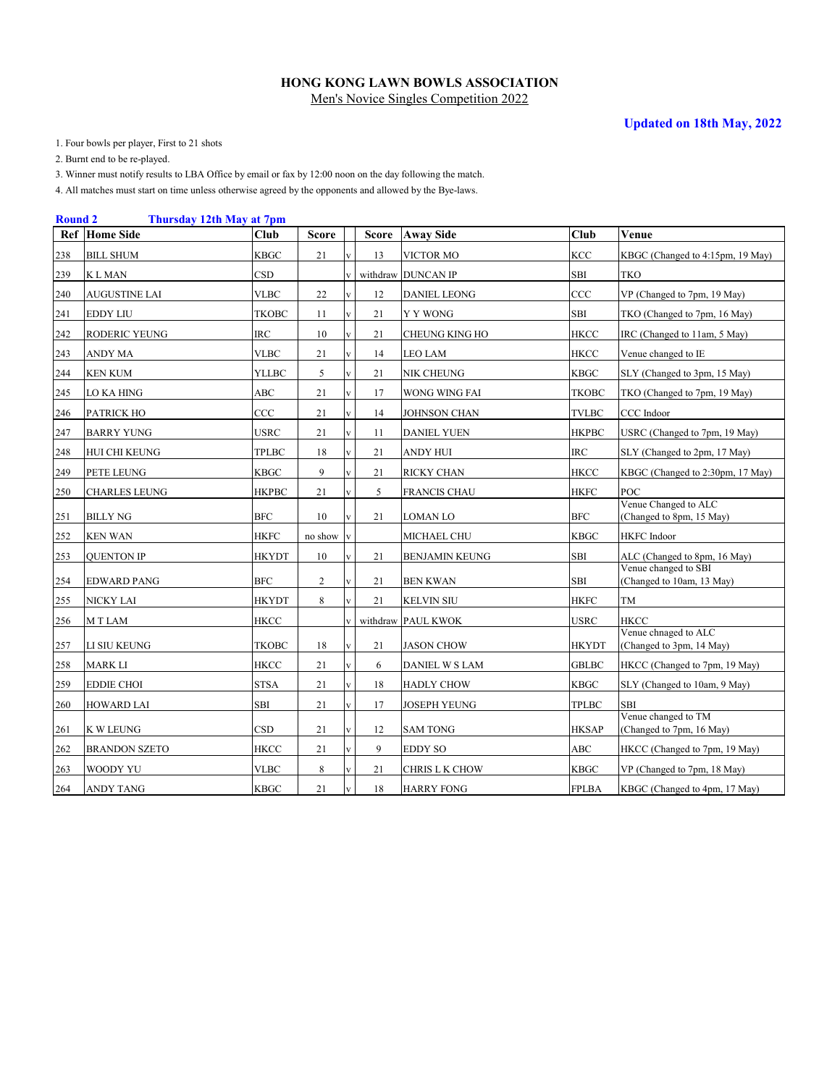1. Four bowls per player, First to 21 shots

2. Burnt end to be re-played.

3. Winner must notify results to LBA Office by email or fax by 12:00 noon on the day following the match.

|     | <b>Round 2</b><br>Thursday 12th May at 7pm |              |                |                         |          |                       |              |                                                   |  |  |  |  |  |
|-----|--------------------------------------------|--------------|----------------|-------------------------|----------|-----------------------|--------------|---------------------------------------------------|--|--|--|--|--|
| Ref | <b>Home Side</b>                           | <b>Club</b>  | <b>Score</b>   |                         | Score    | <b>Away Side</b>      | Club         | Venue                                             |  |  |  |  |  |
| 238 | <b>BILL SHUM</b>                           | <b>KBGC</b>  | 21             |                         | 13       | VICTOR MO             | <b>KCC</b>   | KBGC (Changed to 4:15pm, 19 May)                  |  |  |  |  |  |
| 239 | <b>KLMAN</b>                               | <b>CSD</b>   |                |                         |          | withdraw DUNCAN IP    | SBI          | <b>TKO</b>                                        |  |  |  |  |  |
| 240 | AUGUSTINE LAI                              | <b>VLBC</b>  | 22             |                         | 12       | <b>DANIEL LEONG</b>   | CCC          | VP (Changed to 7pm, 19 May)                       |  |  |  |  |  |
| 241 | <b>EDDY LIU</b>                            | <b>TKOBC</b> | 11             | $\mathbf{v}$            | 21       | Y Y WONG              | <b>SBI</b>   | TKO (Changed to 7pm, 16 May)                      |  |  |  |  |  |
| 242 | RODERIC YEUNG                              | IRC          | 10             | $\overline{\mathbf{V}}$ | 21       | CHEUNG KING HO        | <b>HKCC</b>  | IRC (Changed to 11am, 5 May)                      |  |  |  |  |  |
| 243 | ANDY MA                                    | <b>VLBC</b>  | 21             | $\overline{\mathbf{V}}$ | 14       | LEO LAM               | HKCC         | Venue changed to IE                               |  |  |  |  |  |
| 244 | <b>KEN KUM</b>                             | <b>YLLBC</b> | 5              | $\mathbf{V}$            | 21       | NIK CHEUNG            | KBGC         | SLY (Changed to 3pm, 15 May)                      |  |  |  |  |  |
| 245 | LO KA HING                                 | ABC          | 21             | $\mathbf{V}$            | 17       | WONG WING FAI         | TKOBC        | TKO (Changed to 7pm, 19 May)                      |  |  |  |  |  |
| 246 | PATRICK HO                                 | CCC          | 21             | $\mathbf{V}$            | 14       | JOHNSON CHAN          | TVLBC        | CCC Indoor                                        |  |  |  |  |  |
| 247 | <b>BARRY YUNG</b>                          | <b>USRC</b>  | 21             | $\mathbf{V}$            | 11       | <b>DANIEL YUEN</b>    | НКРВС        | USRC (Changed to 7pm, 19 May)                     |  |  |  |  |  |
| 248 | HUI CHI KEUNG                              | <b>TPLBC</b> | 18             | $\mathbf{V}$            | 21       | <b>ANDY HUI</b>       | IRC          | SLY (Changed to 2pm, 17 May)                      |  |  |  |  |  |
| 249 | PETE LEUNG                                 | <b>KBGC</b>  | 9              |                         | 21       | <b>RICKY CHAN</b>     | <b>HKCC</b>  | KBGC (Changed to 2:30pm, 17 May)                  |  |  |  |  |  |
| 250 | <b>CHARLES LEUNG</b>                       | <b>HKPBC</b> | 21             |                         | 5        | FRANCIS CHAU          | <b>HKFC</b>  | POC                                               |  |  |  |  |  |
| 251 | <b>BILLY NG</b>                            | <b>BFC</b>   | 10             |                         | 21       | <b>LOMAN LO</b>       | <b>BFC</b>   | Venue Changed to ALC<br>(Changed to 8pm, 15 May)  |  |  |  |  |  |
| 252 | <b>KEN WAN</b>                             | HKFC         | no show        |                         |          | MICHAEL CHU           | KBGC         | <b>HKFC</b> Indoor                                |  |  |  |  |  |
| 253 | QUENTON IP                                 | <b>HKYDT</b> | 10             |                         | 21       | <b>BENJAMIN KEUNG</b> | SBI          | ALC (Changed to 8pm, 16 May)                      |  |  |  |  |  |
| 254 | <b>EDWARD PANG</b>                         | <b>BFC</b>   | $\overline{2}$ |                         | 21       | <b>BEN KWAN</b>       | SBI          | Venue changed to SBI<br>(Changed to 10am, 13 May) |  |  |  |  |  |
| 255 | NICKY LAI                                  | <b>HKYDT</b> | 8              |                         | 21       | <b>KELVIN SIU</b>     | <b>HKFC</b>  | TM                                                |  |  |  |  |  |
| 256 | M T LAM                                    | <b>HKCC</b>  |                |                         | withdraw | PAUL KWOK             | USRC         | HKCC                                              |  |  |  |  |  |
| 257 | LI SIU KEUNG                               | <b>TKOBC</b> | 18             |                         | 21       | <b>JASON CHOW</b>     | <b>HKYDT</b> | Venue chnaged to ALC<br>(Changed to 3pm, 14 May)  |  |  |  |  |  |
| 258 | <b>MARK LI</b>                             | <b>HKCC</b>  | 21             |                         | 6        | DANIEL W S LAM        | <b>GBLBC</b> | HKCC (Changed to 7pm, 19 May)                     |  |  |  |  |  |
| 259 | <b>EDDIE CHOI</b>                          | <b>STSA</b>  | 21             |                         | 18       | <b>HADLY CHOW</b>     | <b>KBGC</b>  | SLY (Changed to 10am, 9 May)                      |  |  |  |  |  |
| 260 | HOWARD LAI                                 | SBI          | 21             |                         | 17       | JOSEPH YEUNG          | <b>TPLBC</b> | <b>SBI</b>                                        |  |  |  |  |  |
| 261 | K W LEUNG                                  | CSD          | 21             |                         | 12       | <b>SAM TONG</b>       | <b>HKSAP</b> | Venue changed to TM<br>(Changed to 7pm, 16 May)   |  |  |  |  |  |
| 262 | <b>BRANDON SZETO</b>                       | HKCC         | 21             | $\overline{\mathbf{v}}$ | 9        | <b>EDDY SO</b>        | ABC          | HKCC (Changed to 7pm, 19 May)                     |  |  |  |  |  |
| 263 | WOODY YU                                   | VLBC         | 8              |                         | 21       | CHRIS L K CHOW        | <b>KBGC</b>  | VP (Changed to 7pm, 18 May)                       |  |  |  |  |  |
| 264 | <b>ANDY TANG</b>                           | <b>KBGC</b>  | 21             | $\overline{\mathbf{V}}$ | 18       | <b>HARRY FONG</b>     | <b>FPLBA</b> | KBGC (Changed to 4pm, 17 May)                     |  |  |  |  |  |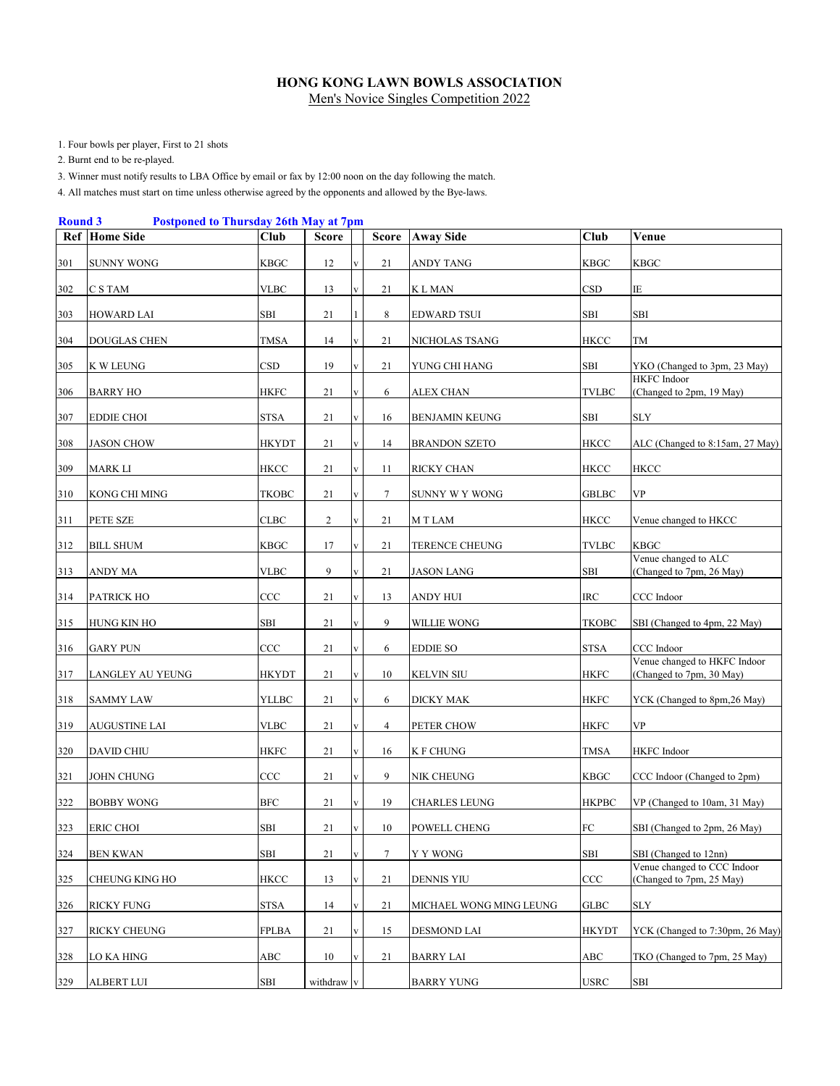1. Four bowls per player, First to 21 shots

2. Burnt end to be re-played.

3. Winner must notify results to LBA Office by email or fax by 12:00 noon on the day following the match.

|     | <b>Postponed to Thursday 26th May at 7pm</b><br><b>Round 3</b> |              |                |              |                |                         |              |                                                          |  |  |  |  |  |
|-----|----------------------------------------------------------------|--------------|----------------|--------------|----------------|-------------------------|--------------|----------------------------------------------------------|--|--|--|--|--|
| Ref | <b>Home Side</b>                                               | Club         | <b>Score</b>   |              | <b>Score</b>   | <b>Away Side</b>        | Club         | Venue                                                    |  |  |  |  |  |
| 301 | <b>SUNNY WONG</b>                                              | <b>KBGC</b>  | 12             |              | 21             | ANDY TANG               | <b>KBGC</b>  | KBGC                                                     |  |  |  |  |  |
| 302 | C S TAM                                                        | <b>VLBC</b>  | 13             |              | 21             | K L MAN                 | <b>CSD</b>   | ΙE                                                       |  |  |  |  |  |
| 303 | <b>HOWARD LAI</b>                                              | SBI          | 21             |              | 8              | EDWARD TSUI             | SBI          | SBI                                                      |  |  |  |  |  |
| 304 | <b>DOUGLAS CHEN</b>                                            | <b>TMSA</b>  | 14             |              | 21             | NICHOLAS TSANG          | <b>HKCC</b>  | TM                                                       |  |  |  |  |  |
| 305 | <b>K W LEUNG</b>                                               | CSD          | 19             | v            | 21             | YUNG CHI HANG           | SBI          | YKO (Changed to 3pm, 23 May)                             |  |  |  |  |  |
| 306 | <b>BARRY HO</b>                                                | <b>HKFC</b>  | 21             |              | 6              | ALEX CHAN               | <b>TVLBC</b> | <b>HKFC</b> Indoor<br>(Changed to 2pm, 19 May)           |  |  |  |  |  |
| 307 | EDDIE CHOI                                                     | STSA         | 21             | V            | 16             | BENJAMIN KEUNG          | SBI          | SLY                                                      |  |  |  |  |  |
| 308 | <b>JASON CHOW</b>                                              | HKYDT        | 21             |              | 14             | <b>BRANDON SZETO</b>    | HKCC         | ALC (Changed to 8:15am, 27 May)                          |  |  |  |  |  |
| 309 | MARK LI                                                        | HKCC         | 21             |              | 11             | RICKY CHAN              | HKCC         | HKCC                                                     |  |  |  |  |  |
| 310 | KONG CHI MING                                                  | <b>TKOBC</b> | 21             |              | $\tau$         | SUNNY W Y WONG          | <b>GBLBC</b> | VP                                                       |  |  |  |  |  |
| 311 | PETE SZE                                                       | CLBC         | $\overline{c}$ |              | 21             | M T LAM                 | HKCC         | Venue changed to HKCC                                    |  |  |  |  |  |
| 312 | <b>BILL SHUM</b>                                               | KBGC         | 17             |              | 21             | TERENCE CHEUNG          | <b>TVLBC</b> | KBGC                                                     |  |  |  |  |  |
| 313 | ANDY MA                                                        | VLBC         | 9              |              | 21             | <b>JASON LANG</b>       | SBI          | Venue changed to ALC<br>(Changed to 7pm, 26 May)         |  |  |  |  |  |
| 314 | PATRICK HO                                                     | CCC          | 21             |              | 13             | ANDY HUI                | <b>IRC</b>   | CCC Indoor                                               |  |  |  |  |  |
| 315 | HUNG KIN HO                                                    | SBI          | 21             |              | 9              | WILLIE WONG             | <b>TKOBC</b> | SBI (Changed to 4pm, 22 May)                             |  |  |  |  |  |
| 316 | <b>GARY PUN</b>                                                | CCC          | 21             |              | 6              | <b>EDDIE SO</b>         | <b>STSA</b>  | CCC Indoor                                               |  |  |  |  |  |
| 317 | LANGLEY AU YEUNG                                               | HKYDT        | 21             |              | 10             | KELVIN SIU              | <b>HKFC</b>  | Venue changed to HKFC Indoor<br>(Changed to 7pm, 30 May) |  |  |  |  |  |
| 318 | <b>SAMMY LAW</b>                                               | YLLBC        | 21             |              | 6              | DICKY MAK               | <b>HKFC</b>  | YCK (Changed to 8pm,26 May)                              |  |  |  |  |  |
| 319 | AUGUSTINE LAI                                                  | <b>VLBC</b>  | 21             |              | $\overline{4}$ | PETER CHOW              | <b>HKFC</b>  | VP                                                       |  |  |  |  |  |
| 320 | DAVID CHIU                                                     | HKFC         | 21             |              | 16             | <b>K F CHUNG</b>        | <b>TMSA</b>  | HKFC Indoor                                              |  |  |  |  |  |
| 321 | JOHN CHUNG                                                     | CCC          | 21             | V            | 9              | NIK CHEUNG              | <b>KBGC</b>  | CCC Indoor (Changed to 2pm)                              |  |  |  |  |  |
| 322 | <b>BOBBY WONG</b>                                              | <b>BFC</b>   | 21             |              | 19             | <b>CHARLES LEUNG</b>    | <b>HKPBC</b> | VP (Changed to 10am, 31 May)                             |  |  |  |  |  |
| 323 | <b>ERIC CHOI</b>                                               | <b>SBI</b>   | 21             | $\mathbf{V}$ | 10             | <b>POWELL CHENG</b>     | ${\rm FC}$   | SBI (Changed to 2pm, 26 May)                             |  |  |  |  |  |
| 324 | <b>BEN KWAN</b>                                                | SBI          | 21             |              | 7              | Y Y WONG                | SBI          | SBI (Changed to 12nn)                                    |  |  |  |  |  |
| 325 | <b>CHEUNG KING HO</b>                                          | HKCC         | 13             |              | 21             | <b>DENNIS YIU</b>       | CCC          | Venue changed to CCC Indoor<br>(Changed to 7pm, 25 May)  |  |  |  |  |  |
| 326 | <b>RICKY FUNG</b>                                              | <b>STSA</b>  | 14             |              | 21             | MICHAEL WONG MING LEUNG | <b>GLBC</b>  | <b>SLY</b>                                               |  |  |  |  |  |
| 327 | RICKY CHEUNG                                                   | <b>FPLBA</b> | 21             |              | 15             | <b>DESMOND LAI</b>      | <b>HKYDT</b> | YCK (Changed to 7:30pm, 26 May)                          |  |  |  |  |  |
| 328 | LO KA HING                                                     | ABC          | $10\,$         |              | 21             | <b>BARRY LAI</b>        | ABC          | TKO (Changed to 7pm, 25 May)                             |  |  |  |  |  |
| 329 | <b>ALBERT LUI</b>                                              | ${\bf SBI}$  | withdraw v     |              |                | <b>BARRY YUNG</b>       | <b>USRC</b>  | SBI                                                      |  |  |  |  |  |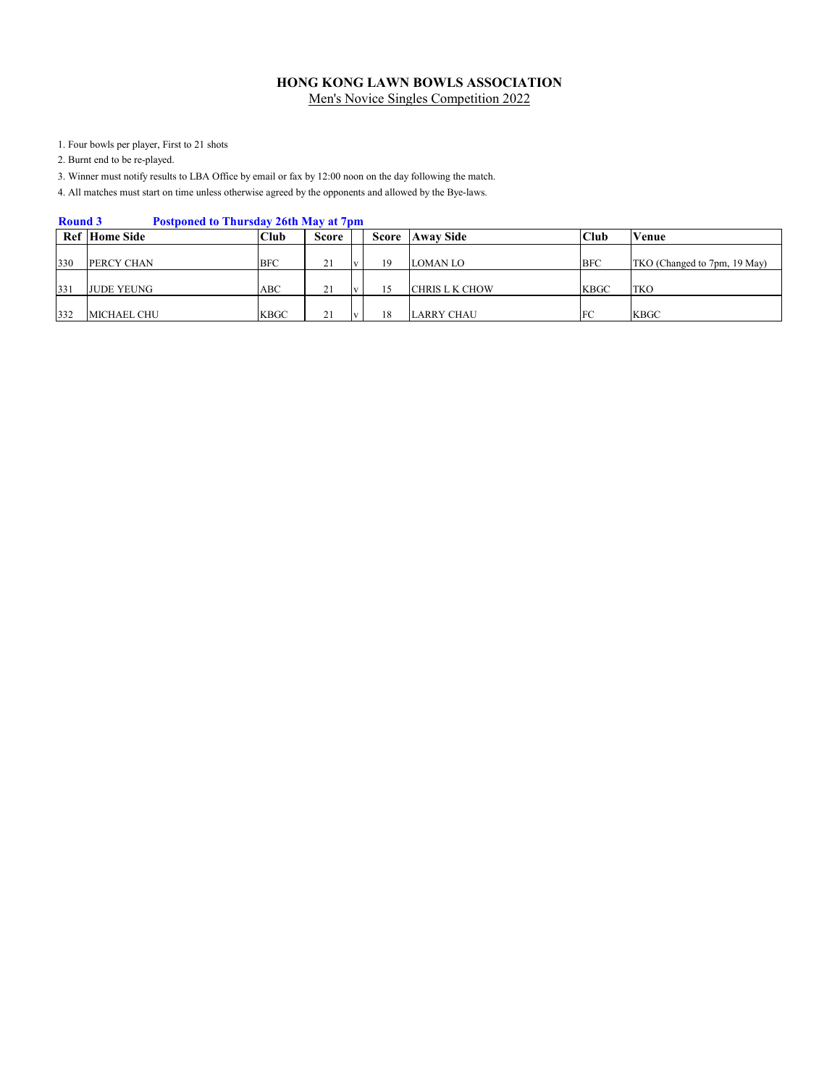1. Four bowls per player, First to 21 shots

2. Burnt end to be re-played.

3. Winner must notify results to LBA Office by email or fax by 12:00 noon on the day following the match.

| <b>Round 3</b><br><b>Postponed to Thursday 26th May at 7pm</b> |                      |             |       |  |       |                       |             |                              |
|----------------------------------------------------------------|----------------------|-------------|-------|--|-------|-----------------------|-------------|------------------------------|
|                                                                | <b>Ref</b> Home Side | Club        | Score |  | Score | <b>Away Side</b>      | <b>Club</b> | Venue                        |
| 330                                                            | <b>PERCY CHAN</b>    | <b>BFC</b>  | 21    |  | 19    | LOMAN LO              | <b>BFC</b>  | TKO (Changed to 7pm, 19 May) |
| 331                                                            | <b>JUDE YEUNG</b>    | ABC         | 21    |  | 15    | <b>CHRIS L K CHOW</b> | KBGC        | <b>TKO</b>                   |
| 332                                                            | MICHAEL CHU          | <b>KBGC</b> | 21    |  | 18    | <b>LARRY CHAU</b>     | FC          | KBGC                         |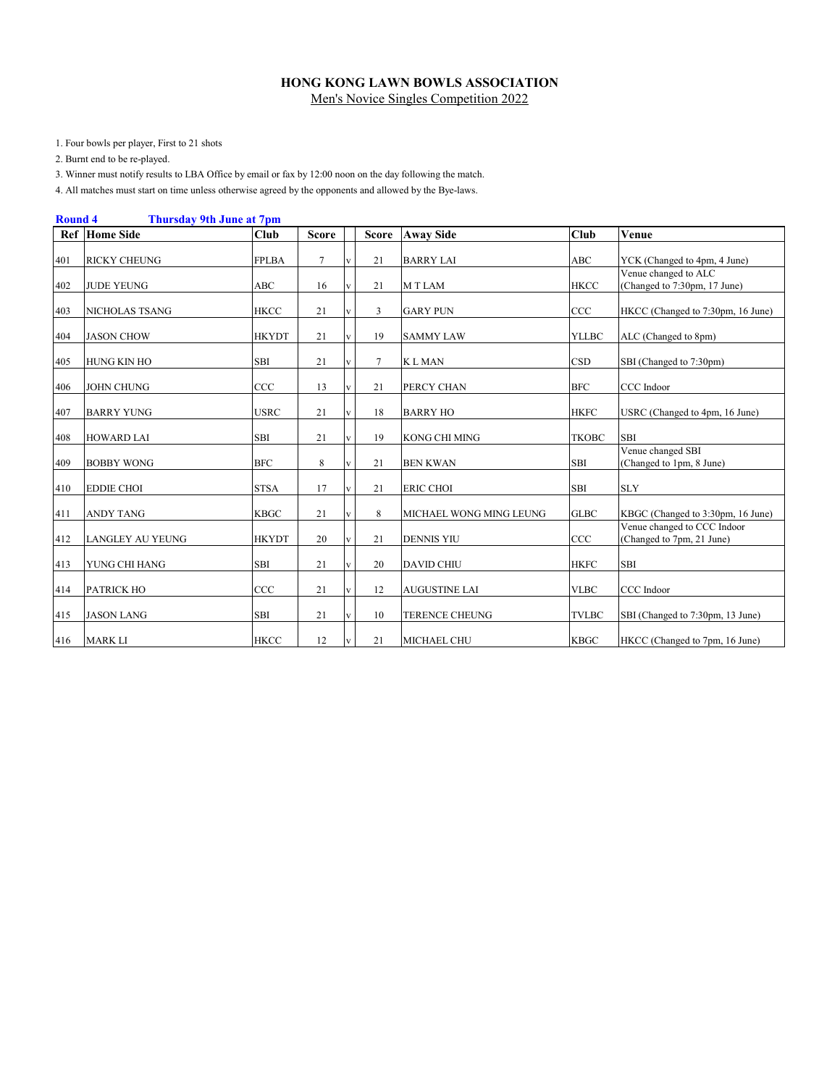1. Four bowls per player, First to 21 shots

2. Burnt end to be re-played.

3. Winner must notify results to LBA Office by email or fax by 12:00 noon on the day following the match.

|     | <b>Thursday 9th June at 7pm</b><br><b>Round 4</b> |              |              |              |              |                         |              |                                                          |  |  |
|-----|---------------------------------------------------|--------------|--------------|--------------|--------------|-------------------------|--------------|----------------------------------------------------------|--|--|
|     | <b>Ref</b> Home Side                              | Club         | <b>Score</b> |              | <b>Score</b> | <b>Away Side</b>        | Club         | <b>Venue</b>                                             |  |  |
| 401 | <b>RICKY CHEUNG</b>                               | <b>FPLBA</b> | 7            |              | 21           | <b>BARRY LAI</b>        | <b>ABC</b>   | YCK (Changed to 4pm, 4 June)                             |  |  |
| 402 | <b>JUDE YEUNG</b>                                 | ABC          | 16           |              | 21           | M T LAM                 | <b>HKCC</b>  | Venue changed to ALC<br>(Changed to 7:30pm, 17 June)     |  |  |
| 403 | NICHOLAS TSANG                                    | <b>HKCC</b>  | 21           |              | 3            | <b>GARY PUN</b>         | CCC          | HKCC (Changed to 7:30pm, 16 June)                        |  |  |
| 404 | <b>JASON CHOW</b>                                 | <b>HKYDT</b> | 21           |              | 19           | <b>SAMMY LAW</b>        | <b>YLLBC</b> | ALC (Changed to 8pm)                                     |  |  |
| 405 | <b>HUNG KIN HO</b>                                | <b>SBI</b>   | 21           |              | $\tau$       | <b>KLMAN</b>            | <b>CSD</b>   | SBI (Changed to 7:30pm)                                  |  |  |
| 406 | <b>JOHN CHUNG</b>                                 | CCC          | 13           |              | 21           | PERCY CHAN              | <b>BFC</b>   | CCC Indoor                                               |  |  |
| 407 | <b>BARRY YUNG</b>                                 | <b>USRC</b>  | 21           |              | 18           | <b>BARRY HO</b>         | <b>HKFC</b>  | USRC (Changed to 4pm, 16 June)                           |  |  |
| 408 | <b>HOWARD LAI</b>                                 | <b>SBI</b>   | 21           |              | 19           | KONG CHI MING           | <b>TKOBC</b> | <b>SBI</b>                                               |  |  |
| 409 | <b>BOBBY WONG</b>                                 | <b>BFC</b>   | 8            |              | 21           | <b>BEN KWAN</b>         | SBI          | Venue changed SBI<br>(Changed to 1pm, 8 June)            |  |  |
| 410 | <b>EDDIE CHOI</b>                                 | <b>STSA</b>  | 17           |              | 21           | <b>ERIC CHOI</b>        | <b>SBI</b>   | <b>SLY</b>                                               |  |  |
| 411 | <b>ANDY TANG</b>                                  | <b>KBGC</b>  | 21           |              | 8            | MICHAEL WONG MING LEUNG | <b>GLBC</b>  | KBGC (Changed to 3:30pm, 16 June)                        |  |  |
| 412 | LANGLEY AU YEUNG                                  | <b>HKYDT</b> | 20           |              | 21           | <b>DENNIS YIU</b>       | CCC          | Venue changed to CCC Indoor<br>(Changed to 7pm, 21 June) |  |  |
| 413 | YUNG CHI HANG                                     | <b>SBI</b>   | 21           |              | 20           | <b>DAVID CHIU</b>       | <b>HKFC</b>  | <b>SBI</b>                                               |  |  |
| 414 | <b>PATRICK HO</b>                                 | CCC          | 21           | V            | 12           | <b>AUGUSTINE LAI</b>    | <b>VLBC</b>  | CCC Indoor                                               |  |  |
| 415 | <b>JASON LANG</b>                                 | SBI          | 21           | $\mathbf{V}$ | 10           | <b>TERENCE CHEUNG</b>   | <b>TVLBC</b> | SBI (Changed to 7:30pm, 13 June)                         |  |  |
| 416 | <b>MARK LI</b>                                    | <b>HKCC</b>  | 12           |              | 21           | MICHAEL CHU             | <b>KBGC</b>  | HKCC (Changed to 7pm, 16 June)                           |  |  |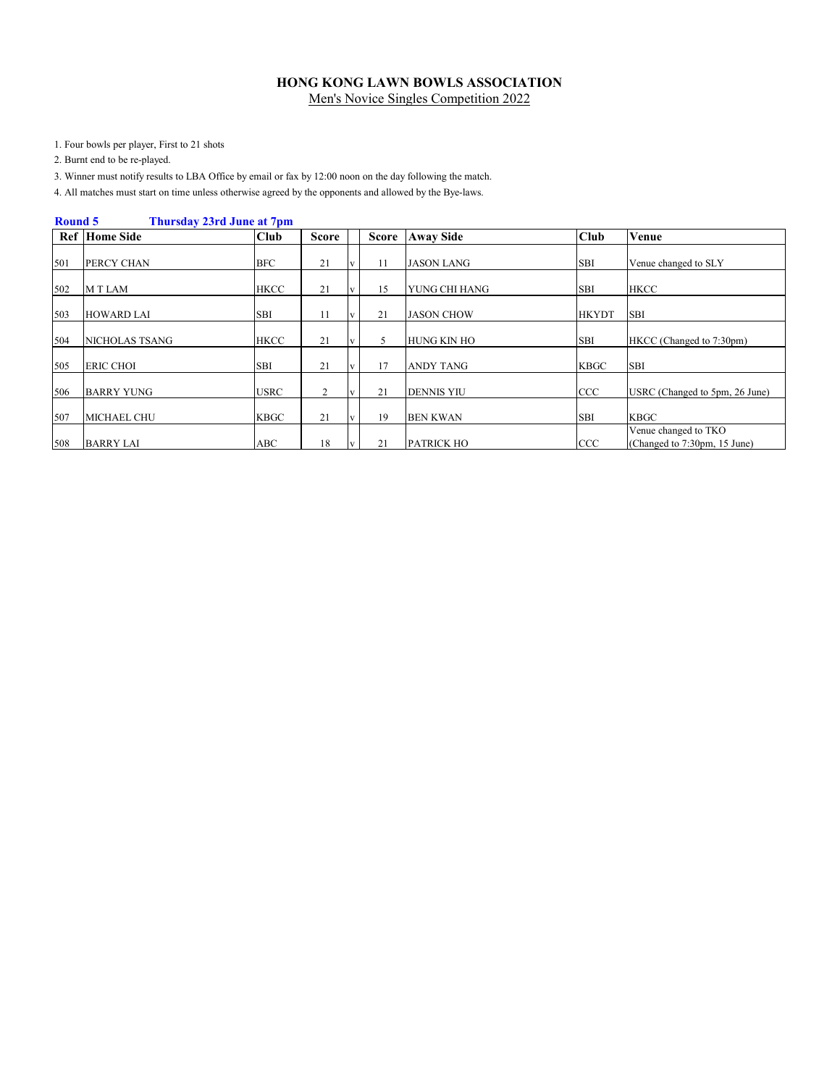1. Four bowls per player, First to 21 shots

2. Burnt end to be re-played.

3. Winner must notify results to LBA Office by email or fax by 12:00 noon on the day following the match.

|     | Round 5<br>Thursday 23rd June at 7pm |             |                |  |              |                    |              |                                                      |  |
|-----|--------------------------------------|-------------|----------------|--|--------------|--------------------|--------------|------------------------------------------------------|--|
|     | <b>Ref</b> Home Side                 | <b>Club</b> | Score          |  | <b>Score</b> | <b>Away Side</b>   | <b>Club</b>  | Venue                                                |  |
| 501 | PERCY CHAN                           | <b>BFC</b>  | 21             |  | 11           | JASON LANG         | <b>SBI</b>   | Venue changed to SLY                                 |  |
| 502 | <b>MTLAM</b>                         | <b>HKCC</b> | 21             |  | 15           | YUNG CHI HANG      | <b>SBI</b>   | <b>HKCC</b>                                          |  |
| 503 | <b>HOWARD LAI</b>                    | <b>SBI</b>  | 11             |  | 21           | <b>JASON CHOW</b>  | <b>HKYDT</b> | <b>SBI</b>                                           |  |
| 504 | <b>NICHOLAS TSANG</b>                | <b>HKCC</b> | 21             |  | 5            | <b>HUNG KIN HO</b> | <b>SBI</b>   | HKCC (Changed to 7:30pm)                             |  |
| 505 | <b>ERIC CHOI</b>                     | <b>SBI</b>  | 21             |  | 17           | ANDY TANG          | <b>KBGC</b>  | <b>SBI</b>                                           |  |
| 506 | <b>BARRY YUNG</b>                    | <b>USRC</b> | $\overline{2}$ |  | 21           | <b>DENNIS YIU</b>  | <b>CCC</b>   | USRC (Changed to 5pm, 26 June)                       |  |
| 507 | <b>MICHAEL CHU</b>                   | <b>KBGC</b> | 21             |  | 19           | <b>BEN KWAN</b>    | <b>SBI</b>   | <b>KBGC</b>                                          |  |
| 508 | <b>BARRY LAI</b>                     | ABC         | 18             |  | 21           | <b>PATRICK HO</b>  | <b>CCC</b>   | Venue changed to TKO<br>(Changed to 7:30pm, 15 June) |  |